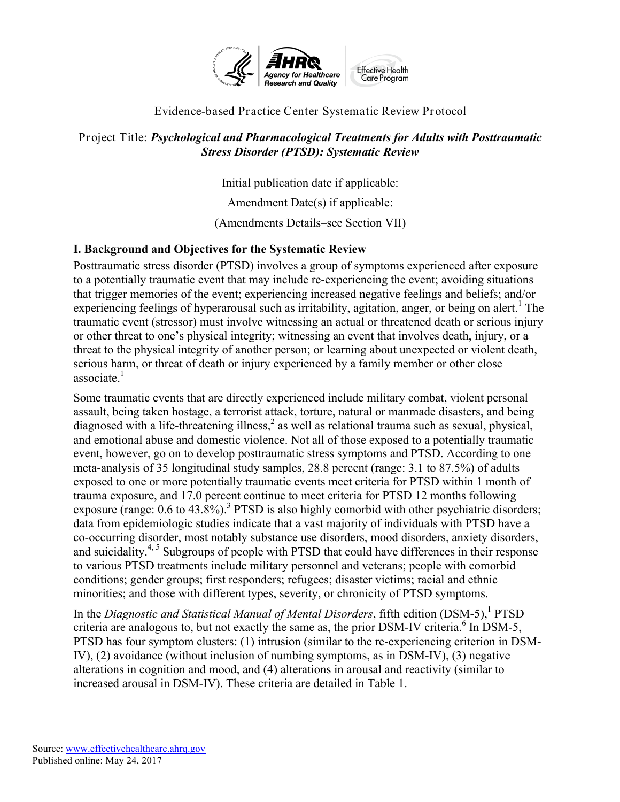

## Evidence-based Practice Center Systematic Review Protocol

#### Project Title: *Psychological and Pharmacological Treatments for Adults with Posttraumatic Stress Disorder (PTSD): Systematic Review*

Initial publication date if applicable:

Amendment Date(s) if applicable:

(Amendments Details–see Section VII)

## **I. Background and Objectives for the Systematic Review**

Posttraumatic stress disorder (PTSD) involves a group of symptoms experienced after exposure to a potentially traumatic event that may include re-experiencing the event; avoiding situations that trigger memories of the event; experiencing increased negative feelings and beliefs; and/or experiencing feelings of hyperarousal such as irritability, agitation, anger, or being on alert.<sup>1</sup> The traumatic event (stressor) must involve witnessing an actual or threatened death or serious injury or other threat to one's physical integrity; witnessing an event that involves death, injury, or a threat to the physical integrity of another person; or learning about unexpected or violent death, serious harm, or threat of death or injury experienced by a family member or other close  $\arccos$ associate.<sup>1</sup>

Some traumatic events that are directly experienced include military combat, violent personal assault, being taken hostage, a terrorist attack, torture, natural or manmade disasters, and being diagnosed with a life-threatening illness, <sup>2</sup> as well as relational trauma such as sexual, physical, and emotional abuse and domestic violence. Not all of those exposed to a potentially traumatic event, however, go on to develop posttraumatic stress symptoms and PTSD. According to one meta-analysis of 35 longitudinal study samples, 28.8 percent (range: 3.1 to 87.5%) of adults exposed to one or more potentially traumatic events meet criteria for PTSD within 1 month of trauma exposure, and 17.0 percent continue to meet criteria for PTSD 12 months following exposure (range:  $0.6$  to  $43.8\%$ ).<sup>3</sup> PTSD is also highly comorbid with other psychiatric disorders; data from epidemiologic studies indicate that a vast majority of individuals with PTSD have a co-occurring disorder, most notably substance use disorders, mood disorders, anxiety disorders, and suicidality.<sup>4, 5</sup> Subgroups of people with PTSD that could have differences in their response to various PTSD treatments include military personnel and veterans; people with comorbid conditions; gender groups; first responders; refugees; disaster victims; racial and ethnic minorities; and those with different types, severity, or chronicity of PTSD symptoms.

In the *Diagnostic and Statistical Manual of Mental Disorders*, fifth edition (DSM-5),<sup>1</sup> PTSD criteria are analogous to, but not exactly the same as, the prior DSM-IV criteria. $6 \text{ In }$  DSM-5. PTSD has four symptom clusters: (1) intrusion (similar to the re-experiencing criterion in DSM-IV), (2) avoidance (without inclusion of numbing symptoms, as in DSM-IV), (3) negative alterations in cognition and mood, and (4) alterations in arousal and reactivity (similar to increased arousal in DSM-IV). These criteria are detailed in Table 1.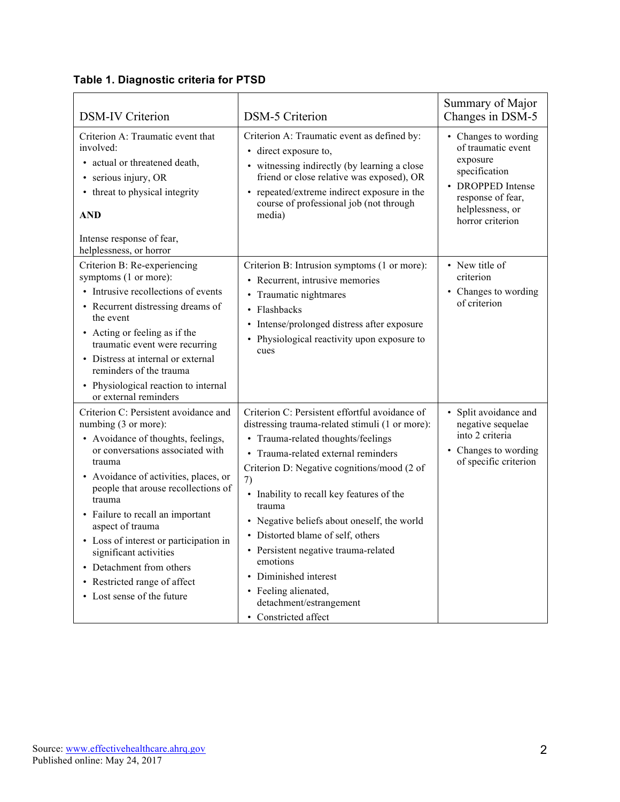| <b>DSM-IV Criterion</b>                                                                                                                                                                                                                                                                                                                                                                                                                                           | <b>DSM-5 Criterion</b>                                                                                                                                                                                                                                                                                                                                                                                                                                                                                                           | Summary of Major<br>Changes in DSM-5                                                                                                                      |
|-------------------------------------------------------------------------------------------------------------------------------------------------------------------------------------------------------------------------------------------------------------------------------------------------------------------------------------------------------------------------------------------------------------------------------------------------------------------|----------------------------------------------------------------------------------------------------------------------------------------------------------------------------------------------------------------------------------------------------------------------------------------------------------------------------------------------------------------------------------------------------------------------------------------------------------------------------------------------------------------------------------|-----------------------------------------------------------------------------------------------------------------------------------------------------------|
| Criterion A: Traumatic event that<br>involved:<br>• actual or threatened death,<br>• serious injury, OR<br>• threat to physical integrity<br><b>AND</b><br>Intense response of fear,<br>helplessness, or horror                                                                                                                                                                                                                                                   | Criterion A: Traumatic event as defined by:<br>direct exposure to,<br>• witnessing indirectly (by learning a close<br>friend or close relative was exposed), OR<br>repeated/extreme indirect exposure in the<br>course of professional job (not through<br>media)                                                                                                                                                                                                                                                                | • Changes to wording<br>of traumatic event<br>exposure<br>specification<br>• DROPPED Intense<br>response of fear,<br>helplessness, or<br>horror criterion |
| Criterion B: Re-experiencing<br>symptoms (1 or more):<br>• Intrusive recollections of events<br>• Recurrent distressing dreams of<br>the event<br>• Acting or feeling as if the<br>traumatic event were recurring<br>• Distress at internal or external<br>reminders of the trauma<br>• Physiological reaction to internal<br>or external reminders                                                                                                               | Criterion B: Intrusion symptoms (1 or more):<br>• Recurrent, intrusive memories<br>• Traumatic nightmares<br>• Flashbacks<br>Intense/prolonged distress after exposure<br>Physiological reactivity upon exposure to<br>cues                                                                                                                                                                                                                                                                                                      | • New title of<br>criterion<br>• Changes to wording<br>of criterion                                                                                       |
| Criterion C: Persistent avoidance and<br>numbing (3 or more):<br>• Avoidance of thoughts, feelings,<br>or conversations associated with<br>trauma<br>• Avoidance of activities, places, or<br>people that arouse recollections of<br>trauma<br>• Failure to recall an important<br>aspect of trauma<br>• Loss of interest or participation in<br>significant activities<br>• Detachment from others<br>• Restricted range of affect<br>• Lost sense of the future | Criterion C: Persistent effortful avoidance of<br>distressing trauma-related stimuli (1 or more):<br>• Trauma-related thoughts/feelings<br>Trauma-related external reminders<br>Criterion D: Negative cognitions/mood (2 of<br>7)<br>Inability to recall key features of the<br>trauma<br>• Negative beliefs about oneself, the world<br>• Distorted blame of self, others<br>• Persistent negative trauma-related<br>emotions<br>Diminished interest<br>• Feeling alienated,<br>detachment/estrangement<br>• Constricted affect | • Split avoidance and<br>negative sequelae<br>into 2 criteria<br>• Changes to wording<br>of specific criterion                                            |

## **Table 1. Diagnostic criteria for PTSD**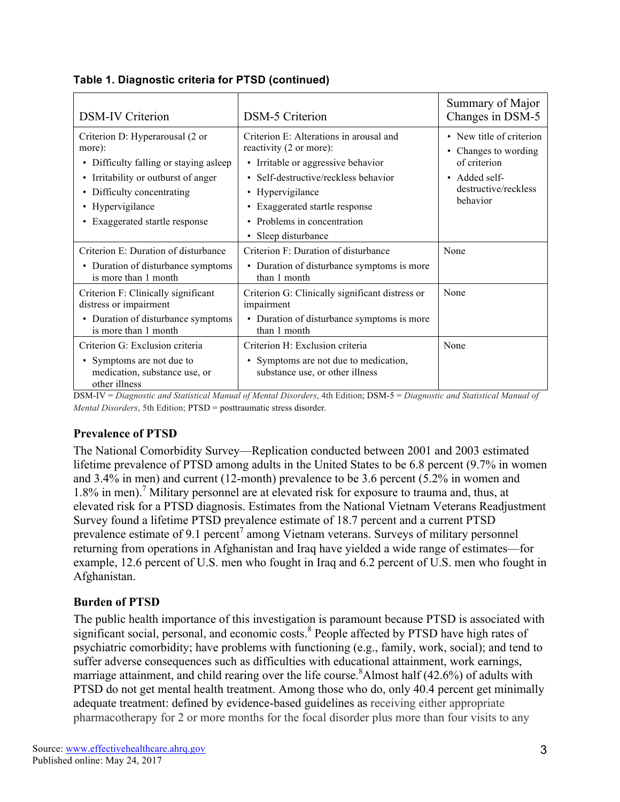| <b>DSM-IV Criterion</b>                                                                                                                                                                                                            | <b>DSM-5</b> Criterion                                                                                                                                                                                                                                              | Summary of Major<br>Changes in DSM-5                                                                                     |
|------------------------------------------------------------------------------------------------------------------------------------------------------------------------------------------------------------------------------------|---------------------------------------------------------------------------------------------------------------------------------------------------------------------------------------------------------------------------------------------------------------------|--------------------------------------------------------------------------------------------------------------------------|
| Criterion D: Hyperarousal (2 or<br>more):<br>Difficulty falling or staying asleep<br>$\bullet$<br>Irritability or outburst of anger<br>$\bullet$<br>Difficulty concentrating<br>• Hypervigilance<br>• Exaggerated startle response | Criterion E: Alterations in arousal and<br>reactivity (2 or more):<br>• Irritable or aggressive behavior<br>• Self-destructive/reckless behavior<br>Hypervigilance<br>Exaggerated startle response<br>• Problems in concentration<br>Sleep disturbance<br>$\bullet$ | • New title of criterion<br>• Changes to wording<br>of criterion<br>Added self-<br>٠<br>destructive/reckless<br>behavior |
| Criterion E: Duration of disturbance<br>• Duration of disturbance symptoms<br>is more than 1 month                                                                                                                                 | Criterion F: Duration of disturbance<br>• Duration of disturbance symptoms is more<br>than 1 month                                                                                                                                                                  | None                                                                                                                     |
| Criterion F: Clinically significant<br>distress or impairment<br>• Duration of disturbance symptoms<br>is more than 1 month                                                                                                        | Criterion G: Clinically significant distress or<br>impairment<br>Duration of disturbance symptoms is more<br>than 1 month                                                                                                                                           | None                                                                                                                     |
| Criterion G: Exclusion criteria<br>• Symptoms are not due to<br>medication, substance use, or<br>other illness                                                                                                                     | Criterion H: Exclusion criteria<br>Symptoms are not due to medication,<br>substance use, or other illness                                                                                                                                                           | None                                                                                                                     |

**Table 1. Diagnostic criteria for PTSD (continued)**

DSM-IV = *Diagnostic and Statistical Manual of Mental Disorders*, 4th Edition; DSM-5 = *Diagnostic and Statistical Manual of Mental Disorders*, 5th Edition; PTSD = posttraumatic stress disorder.

## **Prevalence of PTSD**

The National Comorbidity Survey—Replication conducted between 2001 and 2003 estimated lifetime prevalence of PTSD among adults in the United States to be 6.8 percent (9.7% in women and 3.4% in men) and current (12-month) prevalence to be 3.6 percent (5.2% in women and 1.8% in men).<sup>7</sup> Military personnel are at elevated risk for exposure to trauma and, thus, at elevated risk for a PTSD diagnosis. Estimates from the National Vietnam Veterans Readjustment Survey found a lifetime PTSD prevalence estimate of 18.7 percent and a current PTSD prevalence estimate of 9.1 percent<sup>7</sup> among Vietnam veterans. Surveys of military personnel returning from operations in Afghanistan and Iraq have yielded a wide range of estimates—for example, 12.6 percent of U.S. men who fought in Iraq and 6.2 percent of U.S. men who fought in Afghanistan.

#### **Burden of PTSD**

The public health importance of this investigation is paramount because PTSD is associated with significant social, personal, and economic costs.<sup>8</sup> People affected by PTSD have high rates of psychiatric comorbidity; have problems with functioning (e.g., family, work, social); and tend to suffer adverse consequences such as difficulties with educational attainment, work earnings, marriage attainment, and child rearing over the life course.<sup>8</sup>Almost half (42.6%) of adults with PTSD do not get mental health treatment. Among those who do, only 40.4 percent get minimally adequate treatment: defined by evidence-based guidelines as receiving either appropriate pharmacotherapy for 2 or more months for the focal disorder plus more than four visits to any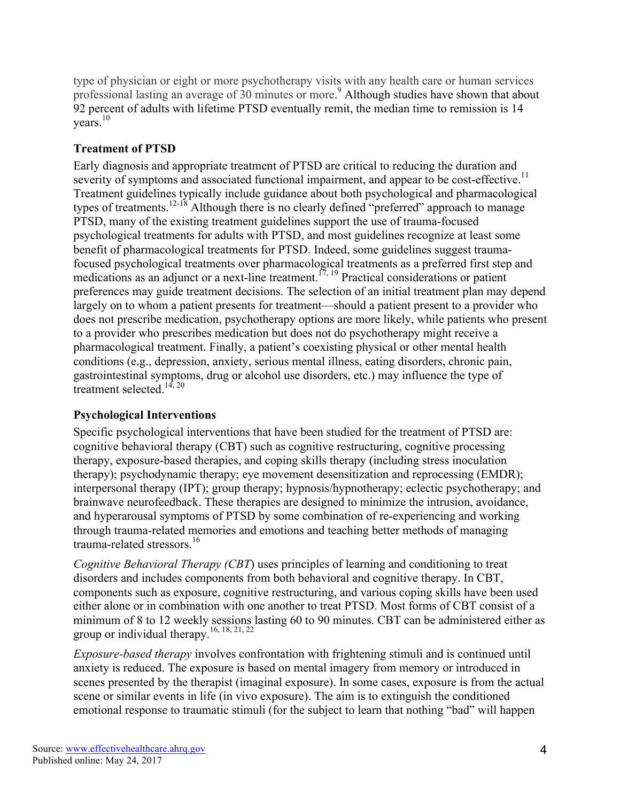type of physician or eight or more psychotherapy visits with any health care or human services professional lasting an average of 30 minutes or more. <sup>9</sup> Although studies have shown that about 92 percent of adults with lifetime PTSD eventually remit, the median time to remission is 14 vears. $10$ 

## **Treatment of PTSD**

Early diagnosis and appropriate treatment of PTSD are critical to reducing the duration and severity of symptoms and associated functional impairment, and appear to be cost-effective.<sup>11</sup> Treatment guidelines typically include guidance about both psychological and pharmacological types of treatments.<sup>12-18</sup> Although there is no clearly defined "preferred" approach to manage PTSD, many of the existing treatment guidelines support the use of trauma-focused psychological treatments for adults with PTSD, and most guidelines recognize at least some benefit of pharmacological treatments for PTSD. Indeed, some guidelines suggest traumafocused psychological treatments over pharmacological treatments as a preferred first step and medications as an adjunct or a next-line treatment.<sup>17, 19</sup> Practical considerations or patient preferences may guide treatment decisions. The selection of an initial treatment plan may depend largely on to whom a patient presents for treatment—should a patient present to a provider who does not prescribe medication, psychotherapy options are more likely, while patients who present to a provider who prescribes medication but does not do psychotherapy might receive a pharmacological treatment. Finally, a patient's coexisting physical or other mental health conditions (e.g., depression, anxiety, serious mental illness, eating disorders, chronic pain, gastrointestinal symptoms, drug or alcohol use disorders, etc.) may influence the type of treatment selected.<sup>14, 20</sup>

## **Psychological Interventions**

Specific psychological interventions that have been studied for the treatment of PTSD are: cognitive behavioral therapy (CBT) such as cognitive restructuring, cognitive processing therapy, exposure-based therapies, and coping skills therapy (including stress inoculation therapy); psychodynamic therapy; eye movement desensitization and reprocessing (EMDR); interpersonal therapy (IPT); group therapy; hypnosis/hypnotherapy; eclectic psychotherapy; and brainwave neurofeedback. These therapies are designed to minimize the intrusion, avoidance, and hyperarousal symptoms of PTSD by some combination of re-experiencing and working through trauma-related memories and emotions and teaching better methods of managing trauma-related stressors.<sup>16</sup>

*Cognitive Behavioral Therapy (CBT*) uses principles of learning and conditioning to treat disorders and includes components from both behavioral and cognitive therapy. In CBT, components such as exposure, cognitive restructuring, and various coping skills have been used either alone or in combination with one another to treat PTSD. Most forms of CBT consist of a minimum of 8 to 12 weekly sessions lasting 60 to 90 minutes. CBT can be administered either as group or individual therapy.<sup>16, 18, 21, 22</sup>

*Exposure-based therapy* involves confrontation with frightening stimuli and is continued until anxiety is reduced. The exposure is based on mental imagery from memory or introduced in scenes presented by the therapist (imaginal exposure). In some cases, exposure is from the actual scene or similar events in life (in vivo exposure). The aim is to extinguish the conditioned emotional response to traumatic stimuli (for the subject to learn that nothing "bad" will happen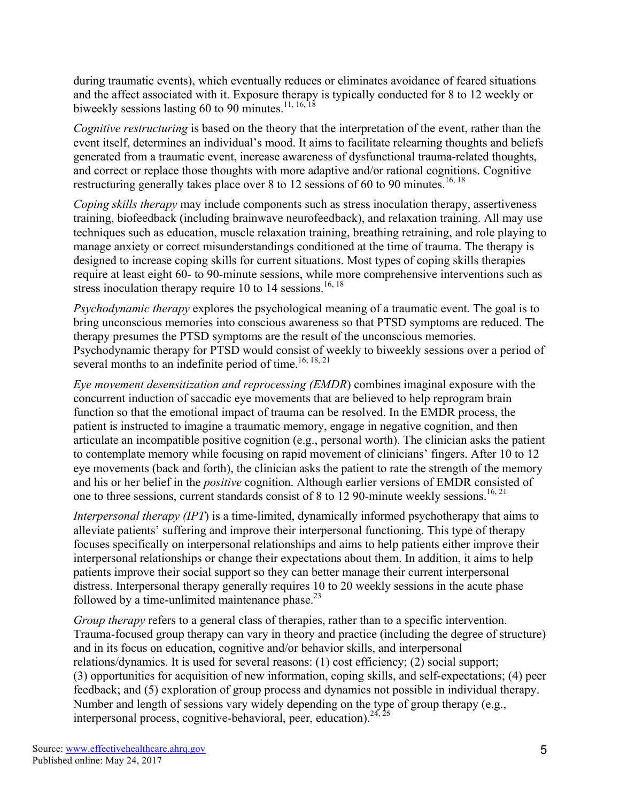during traumatic events), which eventually reduces or eliminates avoidance of feared situations and the affect associated with it. Exposure therapy is typically conducted for 8 to 12 weekly or biweekly sessions lasting 60 to 90 minutes.<sup>11, 16, 18</sup>

*Cognitive restructuring* is based on the theory that the interpretation of the event, rather than the event itself, determines an individual's mood. It aims to facilitate relearning thoughts and beliefs generated from a traumatic event, increase awareness of dysfunctional trauma-related thoughts, and correct or replace those thoughts with more adaptive and/or rational cognitions. Cognitive restructuring generally takes place over 8 to 12 sessions of 60 to 90 minutes.<sup>16, 18</sup>

*Coping skills therapy* may include components such as stress inoculation therapy, assertiveness training, biofeedback (including brainwave neurofeedback), and relaxation training. All may use techniques such as education, muscle relaxation training, breathing retraining, and role playing to manage anxiety or correct misunderstandings conditioned at the time of trauma. The therapy is designed to increase coping skills for current situations. Most types of coping skills therapies require at least eight 60- to 90-minute sessions, while more comprehensive interventions such as stress inoculation therapy require 10 to 14 sessions.<sup>16, 18</sup>

*Psychodynamic therapy* explores the psychological meaning of a traumatic event. The goal is to bring unconscious memories into conscious awareness so that PTSD symptoms are reduced. The therapy presumes the PTSD symptoms are the result of the unconscious memories. Psychodynamic therapy for PTSD would consist of weekly to biweekly sessions over a period of several months to an indefinite period of time.<sup>16, 18, 21</sup>

*Eye movement desensitization and reprocessing (EMDR*) combines imaginal exposure with the concurrent induction of saccadic eye movements that are believed to help reprogram brain function so that the emotional impact of trauma can be resolved. In the EMDR process, the patient is instructed to imagine a traumatic memory, engage in negative cognition, and then articulate an incompatible positive cognition (e.g., personal worth). The clinician asks the patient to contemplate memory while focusing on rapid movement of clinicians' fingers. After 10 to 12 eye movements (back and forth), the clinician asks the patient to rate the strength of the memory and his or her belief in the *positive* cognition. Although earlier versions of EMDR consisted of one to three sessions, current standards consist of 8 to 12 90-minute weekly sessions.<sup>16, 21</sup>

*Interpersonal therapy (IPT*) is a time-limited, dynamically informed psychotherapy that aims to alleviate patients' suffering and improve their interpersonal functioning. This type of therapy focuses specifically on interpersonal relationships and aims to help patients either improve their interpersonal relationships or change their expectations about them. In addition, it aims to help patients improve their social support so they can better manage their current interpersonal distress. Interpersonal therapy generally requires 10 to 20 weekly sessions in the acute phase followed by a time-unlimited maintenance phase. $^{23}$ 

*Group therapy* refers to a general class of therapies, rather than to a specific intervention. Trauma-focused group therapy can vary in theory and practice (including the degree of structure) and in its focus on education, cognitive and/or behavior skills, and interpersonal relations/dynamics. It is used for several reasons: (1) cost efficiency; (2) social support; (3) opportunities for acquisition of new information, coping skills, and self-expectations; (4) peer feedback; and (5) exploration of group process and dynamics not possible in individual therapy. Number and length of sessions vary widely depending on the type of group therapy (e.g., interpersonal process, cognitive-behavioral, peer, education).<sup>24, 25</sup>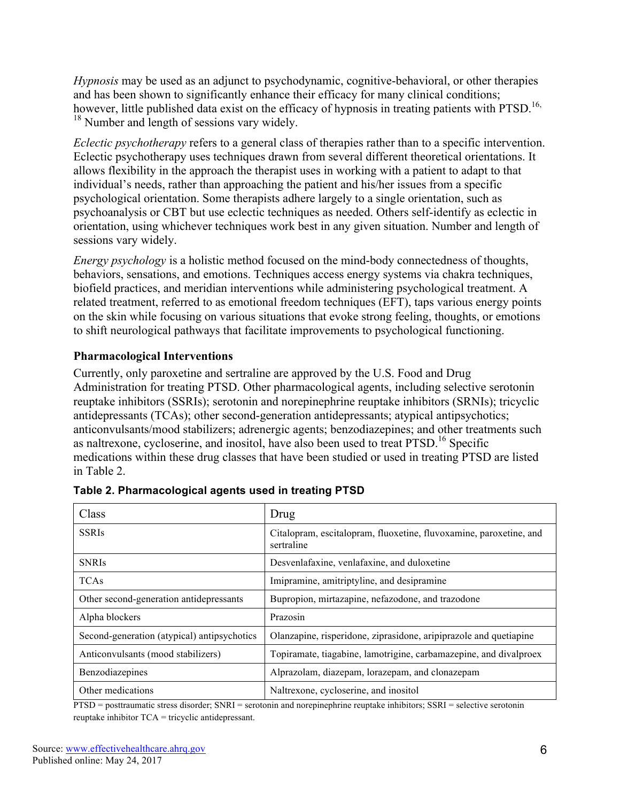*Hypnosis* may be used as an adjunct to psychodynamic, cognitive-behavioral, or other therapies and has been shown to significantly enhance their efficacy for many clinical conditions; however, little published data exist on the efficacy of hypnosis in treating patients with PTSD.<sup>16,</sup>  $18$  Number and length of sessions vary widely.

*Eclectic psychotherapy* refers to a general class of therapies rather than to a specific intervention. Eclectic psychotherapy uses techniques drawn from several different theoretical orientations. It allows flexibility in the approach the therapist uses in working with a patient to adapt to that individual's needs, rather than approaching the patient and his/her issues from a specific psychological orientation. Some therapists adhere largely to a single orientation, such as psychoanalysis or CBT but use eclectic techniques as needed. Others self-identify as eclectic in orientation, using whichever techniques work best in any given situation. Number and length of sessions vary widely.

*Energy psychology* is a holistic method focused on the mind-body connectedness of thoughts, behaviors, sensations, and emotions. Techniques access energy systems via chakra techniques, biofield practices, and meridian interventions while administering psychological treatment. A related treatment, referred to as emotional freedom techniques (EFT), taps various energy points on the skin while focusing on various situations that evoke strong feeling, thoughts, or emotions to shift neurological pathways that facilitate improvements to psychological functioning.

#### **Pharmacological Interventions**

Currently, only paroxetine and sertraline are approved by the U.S. Food and Drug Administration for treating PTSD. Other pharmacological agents, including selective serotonin reuptake inhibitors (SSRIs); serotonin and norepinephrine reuptake inhibitors (SRNIs); tricyclic antidepressants (TCAs); other second-generation antidepressants; atypical antipsychotics; anticonvulsants/mood stabilizers; adrenergic agents; benzodiazepines; and other treatments such as naltrexone, cycloserine, and inositol, have also been used to treat PTSD.<sup>16</sup> Specific medications within these drug classes that have been studied or used in treating PTSD are listed in Table 2.

| Class                                       | Drug                                                                             |
|---------------------------------------------|----------------------------------------------------------------------------------|
| <b>SSRIs</b>                                | Citalopram, escitalopram, fluoxetine, fluvoxamine, paroxetine, and<br>sertraline |
| <b>SNRIs</b>                                | Desvenlafaxine, venlafaxine, and duloxetine                                      |
| <b>TCAs</b>                                 | Imipramine, amitriptyline, and desipramine                                       |
| Other second-generation antidepressants     | Bupropion, mirtazapine, nefazodone, and trazodone                                |
| Alpha blockers                              | Prazosin                                                                         |
| Second-generation (atypical) antipsychotics | Olanzapine, risperidone, ziprasidone, aripiprazole and quetiapine                |
| Anticonvulsants (mood stabilizers)          | Topiramate, tiagabine, lamotrigine, carbamazepine, and divalproex                |
| Benzodiazepines                             | Alprazolam, diazepam, lorazepam, and clonazepam                                  |
| Other medications                           | Naltrexone, cycloserine, and inositol                                            |

| Table 2. Pharmacological agents used in treating PTSD |
|-------------------------------------------------------|
|-------------------------------------------------------|

PTSD = posttraumatic stress disorder; SNRI = serotonin and norepinephrine reuptake inhibitors; SSRI = selective serotonin reuptake inhibitor TCA = tricyclic antidepressant.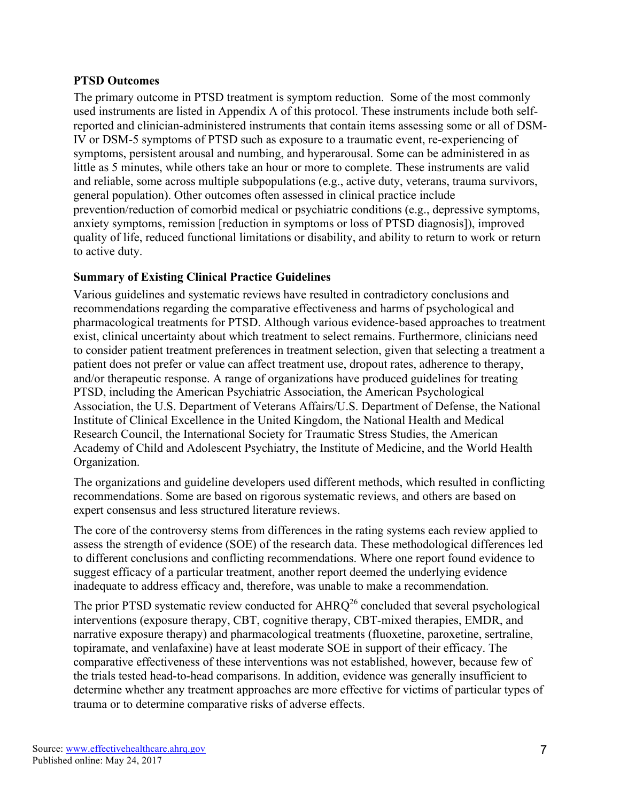#### **PTSD Outcomes**

The primary outcome in PTSD treatment is symptom reduction. Some of the most commonly used instruments are listed in Appendix A of this protocol. These instruments include both selfreported and clinician-administered instruments that contain items assessing some or all of DSM-IV or DSM-5 symptoms of PTSD such as exposure to a traumatic event, re-experiencing of symptoms, persistent arousal and numbing, and hyperarousal. Some can be administered in as little as 5 minutes, while others take an hour or more to complete. These instruments are valid and reliable, some across multiple subpopulations (e.g., active duty, veterans, trauma survivors, general population). Other outcomes often assessed in clinical practice include prevention/reduction of comorbid medical or psychiatric conditions (e.g., depressive symptoms, anxiety symptoms, remission [reduction in symptoms or loss of PTSD diagnosis]), improved quality of life, reduced functional limitations or disability, and ability to return to work or return to active duty.

#### **Summary of Existing Clinical Practice Guidelines**

Various guidelines and systematic reviews have resulted in contradictory conclusions and recommendations regarding the comparative effectiveness and harms of psychological and pharmacological treatments for PTSD. Although various evidence-based approaches to treatment exist, clinical uncertainty about which treatment to select remains. Furthermore, clinicians need to consider patient treatment preferences in treatment selection, given that selecting a treatment a patient does not prefer or value can affect treatment use, dropout rates, adherence to therapy, and/or therapeutic response. A range of organizations have produced guidelines for treating PTSD, including the American Psychiatric Association, the American Psychological Association, the U.S. Department of Veterans Affairs/U.S. Department of Defense, the National Institute of Clinical Excellence in the United Kingdom, the National Health and Medical Research Council, the International Society for Traumatic Stress Studies, the American Academy of Child and Adolescent Psychiatry, the Institute of Medicine, and the World Health Organization.

The organizations and guideline developers used different methods, which resulted in conflicting recommendations. Some are based on rigorous systematic reviews, and others are based on expert consensus and less structured literature reviews.

The core of the controversy stems from differences in the rating systems each review applied to assess the strength of evidence (SOE) of the research data. These methodological differences led to different conclusions and conflicting recommendations. Where one report found evidence to suggest efficacy of a particular treatment, another report deemed the underlying evidence inadequate to address efficacy and, therefore, was unable to make a recommendation.

The prior PTSD systematic review conducted for  $AHRQ^{26}$  concluded that several psychological interventions (exposure therapy, CBT, cognitive therapy, CBT-mixed therapies, EMDR, and narrative exposure therapy) and pharmacological treatments (fluoxetine, paroxetine, sertraline, topiramate, and venlafaxine) have at least moderate SOE in support of their efficacy. The comparative effectiveness of these interventions was not established, however, because few of the trials tested head-to-head comparisons. In addition, evidence was generally insufficient to determine whether any treatment approaches are more effective for victims of particular types of trauma or to determine comparative risks of adverse effects.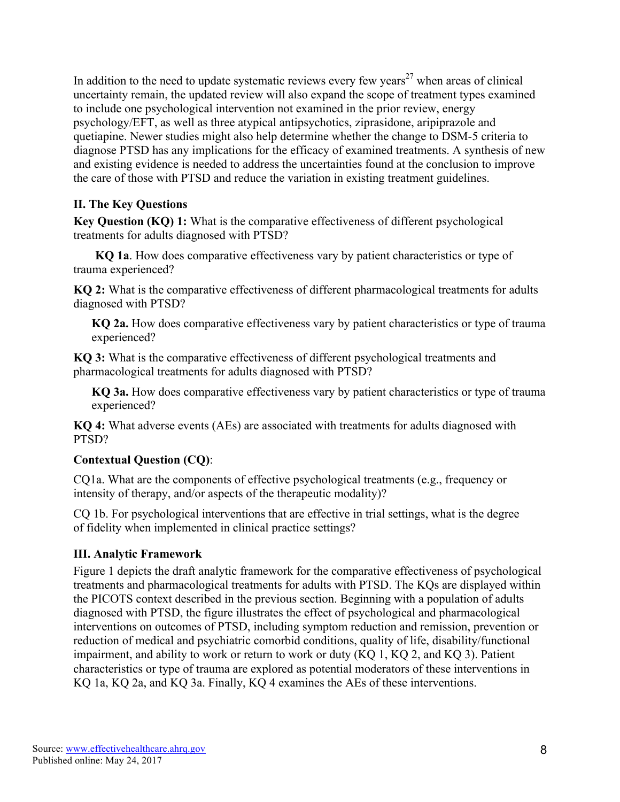In addition to the need to update systematic reviews every few years<sup>27</sup> when areas of clinical uncertainty remain, the updated review will also expand the scope of treatment types examined to include one psychological intervention not examined in the prior review, energy psychology/EFT, as well as three atypical antipsychotics, ziprasidone, aripiprazole and quetiapine. Newer studies might also help determine whether the change to DSM-5 criteria to diagnose PTSD has any implications for the efficacy of examined treatments. A synthesis of new and existing evidence is needed to address the uncertainties found at the conclusion to improve the care of those with PTSD and reduce the variation in existing treatment guidelines.

#### **II. The Key Questions**

**Key Question (KQ) 1:** What is the comparative effectiveness of different psychological treatments for adults diagnosed with PTSD?

**KQ 1a**. How does comparative effectiveness vary by patient characteristics or type of trauma experienced?

**KQ 2:** What is the comparative effectiveness of different pharmacological treatments for adults diagnosed with PTSD?

**KQ 2a.** How does comparative effectiveness vary by patient characteristics or type of trauma experienced?

**KQ 3:** What is the comparative effectiveness of different psychological treatments and pharmacological treatments for adults diagnosed with PTSD?

**KQ 3a.** How does comparative effectiveness vary by patient characteristics or type of trauma experienced?

**KQ 4:** What adverse events (AEs) are associated with treatments for adults diagnosed with PTSD?

## **Contextual Question (CQ)**:

CQ1a. What are the components of effective psychological treatments (e.g., frequency or intensity of therapy, and/or aspects of the therapeutic modality)?

CQ 1b. For psychological interventions that are effective in trial settings, what is the degree of fidelity when implemented in clinical practice settings?

#### **III. Analytic Framework**

Figure 1 depicts the draft analytic framework for the comparative effectiveness of psychological treatments and pharmacological treatments for adults with PTSD. The KQs are displayed within the PICOTS context described in the previous section. Beginning with a population of adults diagnosed with PTSD, the figure illustrates the effect of psychological and pharmacological interventions on outcomes of PTSD, including symptom reduction and remission, prevention or reduction of medical and psychiatric comorbid conditions, quality of life, disability/functional impairment, and ability to work or return to work or duty (KQ 1, KQ 2, and KQ 3). Patient characteristics or type of trauma are explored as potential moderators of these interventions in KQ 1a, KQ 2a, and KQ 3a. Finally, KQ 4 examines the AEs of these interventions.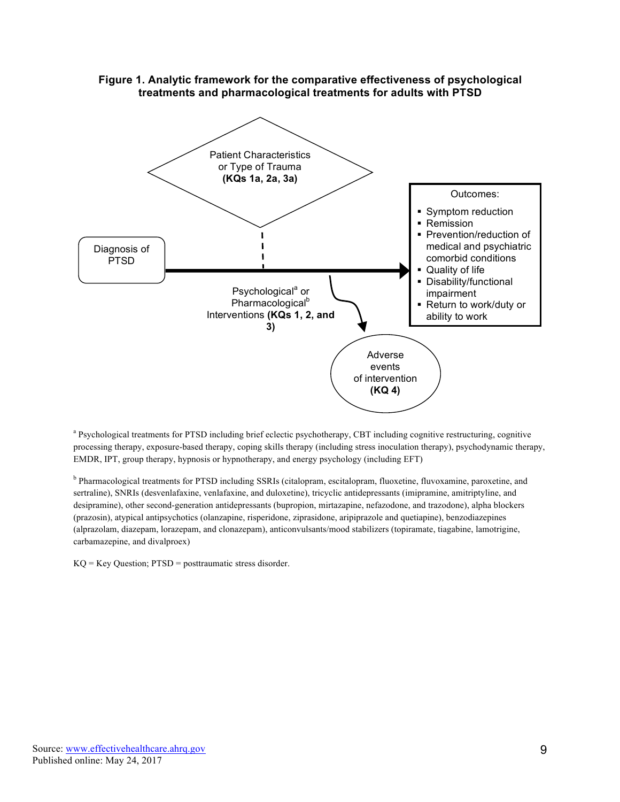

**Figure 1. Analytic framework for the comparative effectiveness of psychological treatments and pharmacological treatments for adults with PTSD**

<sup>a</sup> Psychological treatments for PTSD including brief eclectic psychotherapy, CBT including cognitive restructuring, cognitive processing therapy, exposure-based therapy, coping skills therapy (including stress inoculation therapy), psychodynamic therapy, EMDR, IPT, group therapy, hypnosis or hypnotherapy, and energy psychology (including EFT)

b Pharmacological treatments for PTSD including SSRIs (citalopram, escitalopram, fluoxetine, fluvoxamine, paroxetine, and sertraline), SNRIs (desvenlafaxine, venlafaxine, and duloxetine), tricyclic antidepressants (imipramine, amitriptyline, and desipramine), other second-generation antidepressants (bupropion, mirtazapine, nefazodone, and trazodone), alpha blockers (prazosin), atypical antipsychotics (olanzapine, risperidone, ziprasidone, aripiprazole and quetiapine), benzodiazepines (alprazolam, diazepam, lorazepam, and clonazepam), anticonvulsants/mood stabilizers (topiramate, tiagabine, lamotrigine, carbamazepine, and divalproex)

KQ = Key Question; PTSD = posttraumatic stress disorder.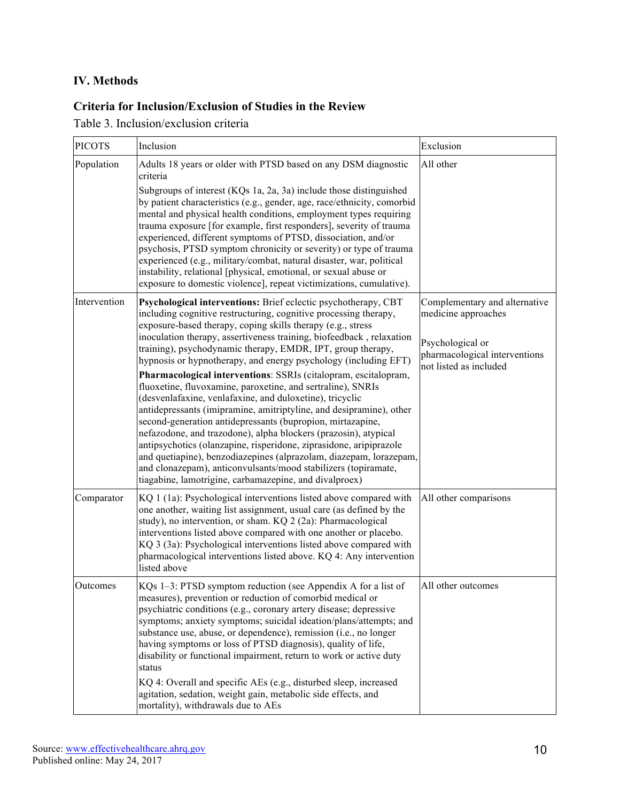# **IV. Methods**

### **Criteria for Inclusion/Exclusion of Studies in the Review**

Table 3. Inclusion/exclusion criteria

| <b>PICOTS</b> | Inclusion                                                                                                                                                                                                                                                                                                                                                                                                                                                                                                                                                                                                                                                                  | Exclusion                                                                                                 |
|---------------|----------------------------------------------------------------------------------------------------------------------------------------------------------------------------------------------------------------------------------------------------------------------------------------------------------------------------------------------------------------------------------------------------------------------------------------------------------------------------------------------------------------------------------------------------------------------------------------------------------------------------------------------------------------------------|-----------------------------------------------------------------------------------------------------------|
| Population    | Adults 18 years or older with PTSD based on any DSM diagnostic<br>criteria                                                                                                                                                                                                                                                                                                                                                                                                                                                                                                                                                                                                 | All other                                                                                                 |
|               | Subgroups of interest (KQs 1a, 2a, 3a) include those distinguished<br>by patient characteristics (e.g., gender, age, race/ethnicity, comorbid<br>mental and physical health conditions, employment types requiring<br>trauma exposure [for example, first responders], severity of trauma<br>experienced, different symptoms of PTSD, dissociation, and/or<br>psychosis, PTSD symptom chronicity or severity) or type of trauma<br>experienced (e.g., military/combat, natural disaster, war, political<br>instability, relational [physical, emotional, or sexual abuse or<br>exposure to domestic violence], repeat victimizations, cumulative).                         |                                                                                                           |
| Intervention  | Psychological interventions: Brief eclectic psychotherapy, CBT<br>including cognitive restructuring, cognitive processing therapy,<br>exposure-based therapy, coping skills therapy (e.g., stress<br>inoculation therapy, assertiveness training, biofeedback, relaxation<br>training), psychodynamic therapy, EMDR, IPT, group therapy,<br>hypnosis or hypnotherapy, and energy psychology (including EFT)                                                                                                                                                                                                                                                                | Complementary and alternative<br>medicine approaches<br>Psychological or<br>pharmacological interventions |
|               | Pharmacological interventions: SSRIs (citalopram, escitalopram,<br>fluoxetine, fluvoxamine, paroxetine, and sertraline), SNRIs<br>(desvenlafaxine, venlafaxine, and duloxetine), tricyclic<br>antidepressants (imipramine, amitriptyline, and desipramine), other<br>second-generation antidepressants (bupropion, mirtazapine,<br>nefazodone, and trazodone), alpha blockers (prazosin), atypical<br>antipsychotics (olanzapine, risperidone, ziprasidone, aripiprazole<br>and quetiapine), benzodiazepines (alprazolam, diazepam, lorazepam,<br>and clonazepam), anticonvulsants/mood stabilizers (topiramate,<br>tiagabine, lamotrigine, carbamazepine, and divalproex) | not listed as included                                                                                    |
| Comparator    | KQ 1 (1a): Psychological interventions listed above compared with<br>one another, waiting list assignment, usual care (as defined by the<br>study), no intervention, or sham. KQ 2 (2a): Pharmacological<br>interventions listed above compared with one another or placebo.<br>KQ 3 (3a): Psychological interventions listed above compared with<br>pharmacological interventions listed above. KQ 4: Any intervention<br>listed above                                                                                                                                                                                                                                    | All other comparisons                                                                                     |
| Outcomes      | KQs 1–3: PTSD symptom reduction (see Appendix A for a list of<br>measures), prevention or reduction of comorbid medical or<br>psychiatric conditions (e.g., coronary artery disease; depressive<br>symptoms; anxiety symptoms; suicidal ideation/plans/attempts; and<br>substance use, abuse, or dependence), remission (i.e., no longer<br>having symptoms or loss of PTSD diagnosis), quality of life,<br>disability or functional impairment, return to work or active duty<br>status<br>KQ 4: Overall and specific AEs (e.g., disturbed sleep, increased<br>agitation, sedation, weight gain, metabolic side effects, and<br>mortality), withdrawals due to AEs        | All other outcomes                                                                                        |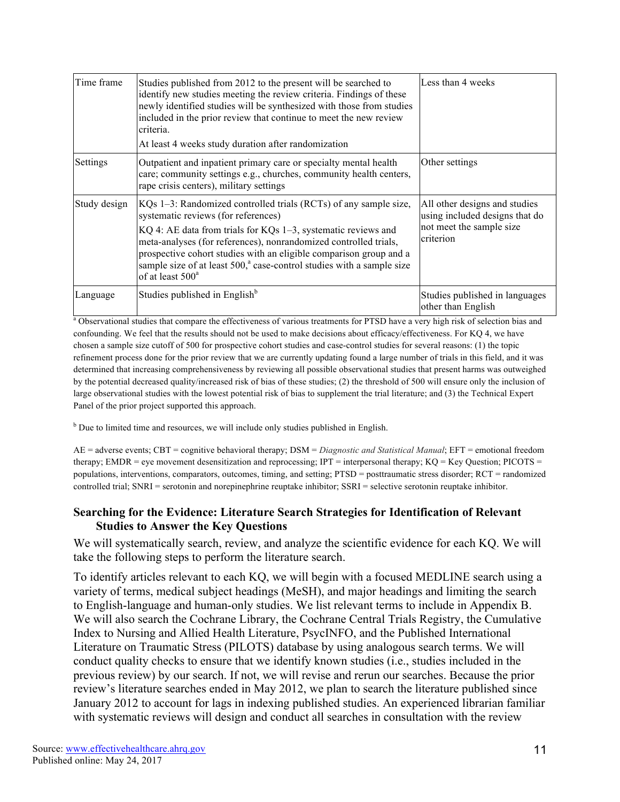| Time frame   | Studies published from 2012 to the present will be searched to<br>identify new studies meeting the review criteria. Findings of these<br>newly identified studies will be synthesized with those from studies<br>included in the prior review that continue to meet the new review<br>criteria.<br>At least 4 weeks study duration after randomization                                                                                      | Less than 4 weeks                                                                                        |
|--------------|---------------------------------------------------------------------------------------------------------------------------------------------------------------------------------------------------------------------------------------------------------------------------------------------------------------------------------------------------------------------------------------------------------------------------------------------|----------------------------------------------------------------------------------------------------------|
| Settings     | Outpatient and inpatient primary care or specialty mental health<br>care; community settings e.g., churches, community health centers,<br>rape crisis centers), military settings                                                                                                                                                                                                                                                           | Other settings                                                                                           |
| Study design | KQs 1–3: Randomized controlled trials (RCTs) of any sample size,<br>systematic reviews (for references)<br>$KQ$ 4: AE data from trials for $KQs$ 1–3, systematic reviews and<br>meta-analyses (for references), nonrandomized controlled trials,<br>prospective cohort studies with an eligible comparison group and a<br>sample size of at least 500, <sup>a</sup> case-control studies with a sample size<br>of at least 500 <sup>a</sup> | All other designs and studies<br>using included designs that do<br>not meet the sample size<br>criterion |
| Language     | Studies published in English <sup>b</sup>                                                                                                                                                                                                                                                                                                                                                                                                   | Studies published in languages<br>other than English                                                     |

<sup>a</sup> Observational studies that compare the effectiveness of various treatments for PTSD have a very high risk of selection bias and confounding. We feel that the results should not be used to make decisions about efficacy/effectiveness. For KQ 4, we have chosen a sample size cutoff of 500 for prospective cohort studies and case-control studies for several reasons: (1) the topic refinement process done for the prior review that we are currently updating found a large number of trials in this field, and it was determined that increasing comprehensiveness by reviewing all possible observational studies that present harms was outweighed by the potential decreased quality/increased risk of bias of these studies; (2) the threshold of 500 will ensure only the inclusion of large observational studies with the lowest potential risk of bias to supplement the trial literature; and (3) the Technical Expert Panel of the prior project supported this approach.

<sup>b</sup> Due to limited time and resources, we will include only studies published in English.

AE = adverse events; CBT = cognitive behavioral therapy; DSM = *Diagnostic and Statistical Manual*; EFT = emotional freedom therapy; EMDR = eye movement desensitization and reprocessing;  $IPT$  = interpersonal therapy;  $KQ$  = Key Question; PICOTS = populations, interventions, comparators, outcomes, timing, and setting; PTSD = posttraumatic stress disorder; RCT = randomized controlled trial; SNRI = serotonin and norepinephrine reuptake inhibitor; SSRI = selective serotonin reuptake inhibitor.

#### **Searching for the Evidence: Literature Search Strategies for Identification of Relevant Studies to Answer the Key Questions**

We will systematically search, review, and analyze the scientific evidence for each KQ. We will take the following steps to perform the literature search.

To identify articles relevant to each KQ, we will begin with a focused MEDLINE search using a variety of terms, medical subject headings (MeSH), and major headings and limiting the search to English-language and human-only studies. We list relevant terms to include in Appendix B. We will also search the Cochrane Library, the Cochrane Central Trials Registry, the Cumulative Index to Nursing and Allied Health Literature, PsycINFO, and the Published International Literature on Traumatic Stress (PILOTS) database by using analogous search terms. We will conduct quality checks to ensure that we identify known studies (i.e., studies included in the previous review) by our search. If not, we will revise and rerun our searches. Because the prior review's literature searches ended in May 2012, we plan to search the literature published since January 2012 to account for lags in indexing published studies. An experienced librarian familiar with systematic reviews will design and conduct all searches in consultation with the review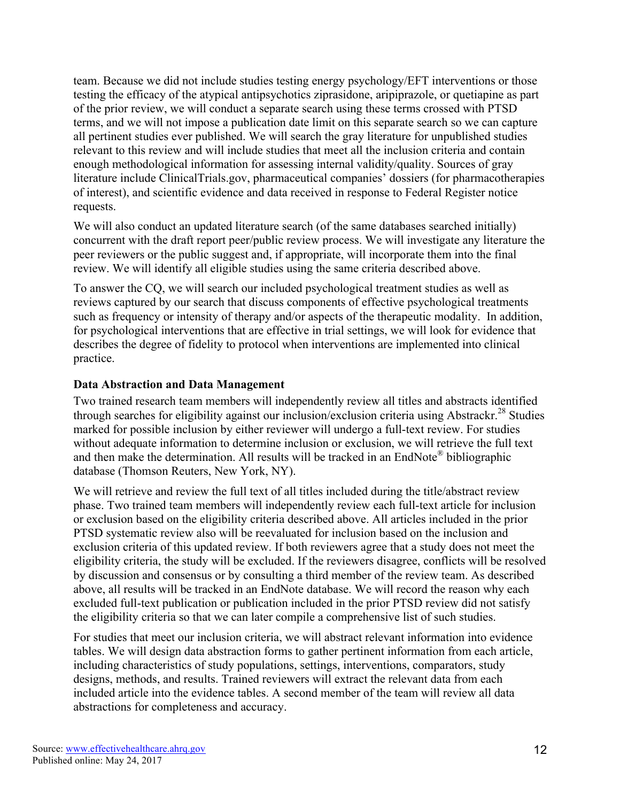team. Because we did not include studies testing energy psychology/EFT interventions or those testing the efficacy of the atypical antipsychotics ziprasidone, aripiprazole, or quetiapine as part of the prior review, we will conduct a separate search using these terms crossed with PTSD terms, and we will not impose a publication date limit on this separate search so we can capture all pertinent studies ever published. We will search the gray literature for unpublished studies relevant to this review and will include studies that meet all the inclusion criteria and contain enough methodological information for assessing internal validity/quality. Sources of gray literature include ClinicalTrials.gov, pharmaceutical companies' dossiers (for pharmacotherapies of interest), and scientific evidence and data received in response to Federal Register notice requests.

We will also conduct an updated literature search (of the same databases searched initially) concurrent with the draft report peer/public review process. We will investigate any literature the peer reviewers or the public suggest and, if appropriate, will incorporate them into the final review. We will identify all eligible studies using the same criteria described above.

To answer the CQ, we will search our included psychological treatment studies as well as reviews captured by our search that discuss components of effective psychological treatments such as frequency or intensity of therapy and/or aspects of the therapeutic modality. In addition, for psychological interventions that are effective in trial settings, we will look for evidence that describes the degree of fidelity to protocol when interventions are implemented into clinical practice.

#### **Data Abstraction and Data Management**

Two trained research team members will independently review all titles and abstracts identified through searches for eligibility against our inclusion/exclusion criteria using Abstrackr.<sup>28</sup> Studies marked for possible inclusion by either reviewer will undergo a full-text review. For studies without adequate information to determine inclusion or exclusion, we will retrieve the full text and then make the determination. All results will be tracked in an EndNote® bibliographic database (Thomson Reuters, New York, NY).

We will retrieve and review the full text of all titles included during the title/abstract review phase. Two trained team members will independently review each full-text article for inclusion or exclusion based on the eligibility criteria described above. All articles included in the prior PTSD systematic review also will be reevaluated for inclusion based on the inclusion and exclusion criteria of this updated review. If both reviewers agree that a study does not meet the eligibility criteria, the study will be excluded. If the reviewers disagree, conflicts will be resolved by discussion and consensus or by consulting a third member of the review team. As described above, all results will be tracked in an EndNote database. We will record the reason why each excluded full-text publication or publication included in the prior PTSD review did not satisfy the eligibility criteria so that we can later compile a comprehensive list of such studies.

For studies that meet our inclusion criteria, we will abstract relevant information into evidence tables. We will design data abstraction forms to gather pertinent information from each article, including characteristics of study populations, settings, interventions, comparators, study designs, methods, and results. Trained reviewers will extract the relevant data from each included article into the evidence tables. A second member of the team will review all data abstractions for completeness and accuracy.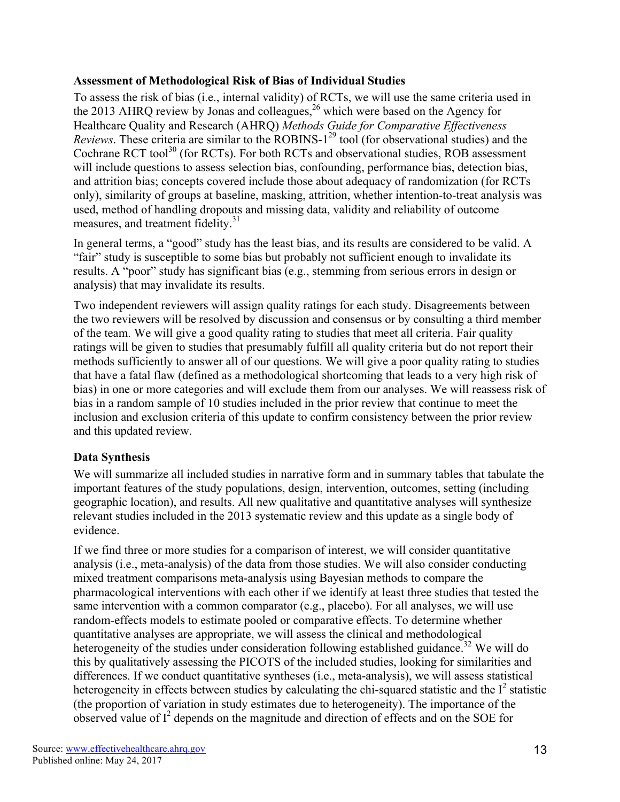#### **Assessment of Methodological Risk of Bias of Individual Studies**

To assess the risk of bias (i.e., internal validity) of RCTs, we will use the same criteria used in the 2013 AHRQ review by Jonas and colleagues,  $^{26}$  which were based on the Agency for Healthcare Quality and Research (AHRQ) *Methods Guide for Comparative Effectiveness Reviews*. These criteria are similar to the ROBINS-1<sup>29</sup> tool (for observational studies) and the Cochrane RCT tool<sup>30</sup> (for RCTs). For both RCTs and observational studies, ROB assessment will include questions to assess selection bias, confounding, performance bias, detection bias, and attrition bias; concepts covered include those about adequacy of randomization (for RCTs only), similarity of groups at baseline, masking, attrition, whether intention-to-treat analysis was used, method of handling dropouts and missing data, validity and reliability of outcome measures, and treatment fidelity.<sup>31</sup>

In general terms, a "good" study has the least bias, and its results are considered to be valid. A "fair" study is susceptible to some bias but probably not sufficient enough to invalidate its results. A "poor" study has significant bias (e.g., stemming from serious errors in design or analysis) that may invalidate its results.

Two independent reviewers will assign quality ratings for each study. Disagreements between the two reviewers will be resolved by discussion and consensus or by consulting a third member of the team. We will give a good quality rating to studies that meet all criteria. Fair quality ratings will be given to studies that presumably fulfill all quality criteria but do not report their methods sufficiently to answer all of our questions. We will give a poor quality rating to studies that have a fatal flaw (defined as a methodological shortcoming that leads to a very high risk of bias) in one or more categories and will exclude them from our analyses. We will reassess risk of bias in a random sample of 10 studies included in the prior review that continue to meet the inclusion and exclusion criteria of this update to confirm consistency between the prior review and this updated review.

## **Data Synthesis**

We will summarize all included studies in narrative form and in summary tables that tabulate the important features of the study populations, design, intervention, outcomes, setting (including geographic location), and results. All new qualitative and quantitative analyses will synthesize relevant studies included in the 2013 systematic review and this update as a single body of evidence.

If we find three or more studies for a comparison of interest, we will consider quantitative analysis (i.e., meta-analysis) of the data from those studies. We will also consider conducting mixed treatment comparisons meta-analysis using Bayesian methods to compare the pharmacological interventions with each other if we identify at least three studies that tested the same intervention with a common comparator (e.g., placebo). For all analyses, we will use random-effects models to estimate pooled or comparative effects. To determine whether quantitative analyses are appropriate, we will assess the clinical and methodological heterogeneity of the studies under consideration following established guidance.<sup>32</sup> We will do this by qualitatively assessing the PICOTS of the included studies, looking for similarities and differences. If we conduct quantitative syntheses (i.e., meta-analysis), we will assess statistical heterogeneity in effects between studies by calculating the chi-squared statistic and the  $I^2$  statistic (the proportion of variation in study estimates due to heterogeneity). The importance of the observed value of  $I^2$  depends on the magnitude and direction of effects and on the SOE for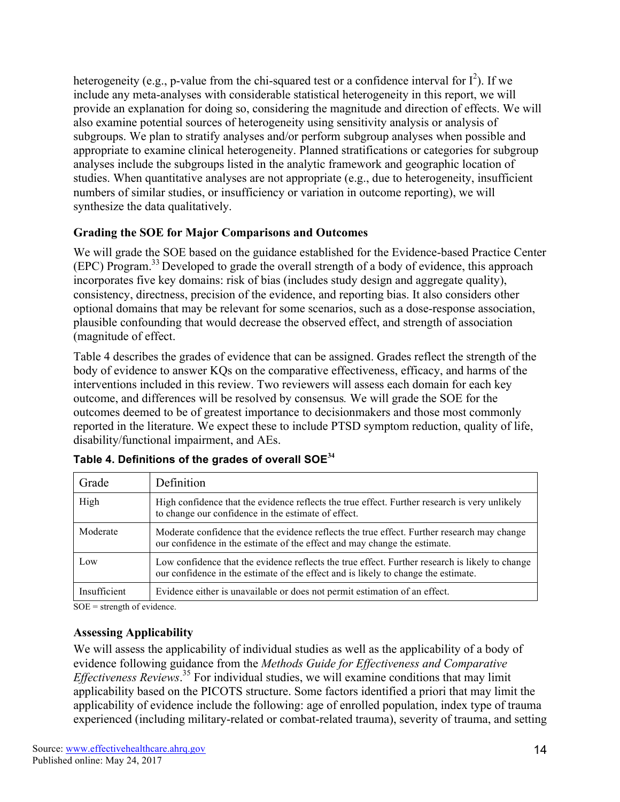heterogeneity (e.g., p-value from the chi-squared test or a confidence interval for  $I^2$ ). If we include any meta-analyses with considerable statistical heterogeneity in this report, we will provide an explanation for doing so, considering the magnitude and direction of effects. We will also examine potential sources of heterogeneity using sensitivity analysis or analysis of subgroups. We plan to stratify analyses and/or perform subgroup analyses when possible and appropriate to examine clinical heterogeneity. Planned stratifications or categories for subgroup analyses include the subgroups listed in the analytic framework and geographic location of studies. When quantitative analyses are not appropriate (e.g., due to heterogeneity, insufficient numbers of similar studies, or insufficiency or variation in outcome reporting), we will synthesize the data qualitatively.

## **Grading the SOE for Major Comparisons and Outcomes**

We will grade the SOE based on the guidance established for the Evidence-based Practice Center (EPC) Program.<sup>33</sup> Developed to grade the overall strength of a body of evidence, this approach incorporates five key domains: risk of bias (includes study design and aggregate quality), consistency, directness, precision of the evidence, and reporting bias. It also considers other optional domains that may be relevant for some scenarios, such as a dose-response association, plausible confounding that would decrease the observed effect, and strength of association (magnitude of effect.

Table 4 describes the grades of evidence that can be assigned. Grades reflect the strength of the body of evidence to answer KQs on the comparative effectiveness, efficacy, and harms of the interventions included in this review. Two reviewers will assess each domain for each key outcome, and differences will be resolved by consensus*.* We will grade the SOE for the outcomes deemed to be of greatest importance to decisionmakers and those most commonly reported in the literature. We expect these to include PTSD symptom reduction, quality of life, disability/functional impairment, and AEs.

| Grade        | Definition                                                                                                                                                                            |
|--------------|---------------------------------------------------------------------------------------------------------------------------------------------------------------------------------------|
| High         | High confidence that the evidence reflects the true effect. Further research is very unlikely<br>to change our confidence in the estimate of effect.                                  |
| Moderate     | Moderate confidence that the evidence reflects the true effect. Further research may change<br>our confidence in the estimate of the effect and may change the estimate.              |
| Low          | Low confidence that the evidence reflects the true effect. Further research is likely to change<br>our confidence in the estimate of the effect and is likely to change the estimate. |
| Insufficient | Evidence either is unavailable or does not permit estimation of an effect.                                                                                                            |

| Table 4. Definitions of the grades of overall SOE <sup>34</sup> |  |  |  |  |
|-----------------------------------------------------------------|--|--|--|--|
|-----------------------------------------------------------------|--|--|--|--|

 $SOE =$  strength of evidence.

#### **Assessing Applicability**

We will assess the applicability of individual studies as well as the applicability of a body of evidence following guidance from the *Methods Guide for Effectiveness and Comparative Effectiveness Reviews*. <sup>35</sup> For individual studies, we will examine conditions that may limit applicability based on the PICOTS structure. Some factors identified a priori that may limit the applicability of evidence include the following: age of enrolled population, index type of trauma experienced (including military-related or combat-related trauma), severity of trauma, and setting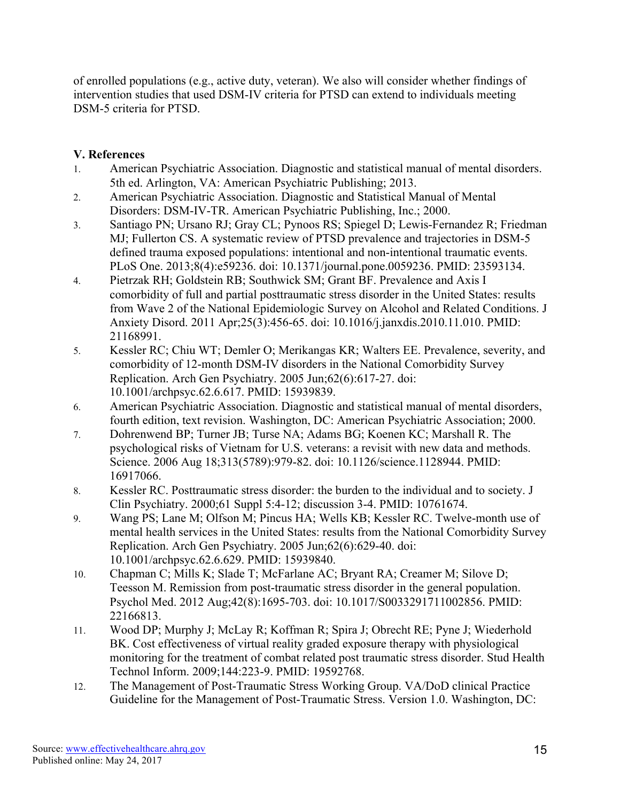of enrolled populations (e.g., active duty, veteran). We also will consider whether findings of intervention studies that used DSM-IV criteria for PTSD can extend to individuals meeting DSM-5 criteria for PTSD.

## **V. References**

- 1. American Psychiatric Association. Diagnostic and statistical manual of mental disorders. 5th ed. Arlington, VA: American Psychiatric Publishing; 2013.
- 2. American Psychiatric Association. Diagnostic and Statistical Manual of Mental Disorders: DSM-IV-TR. American Psychiatric Publishing, Inc.; 2000.
- 3. Santiago PN; Ursano RJ; Gray CL; Pynoos RS; Spiegel D; Lewis-Fernandez R; Friedman MJ; Fullerton CS. A systematic review of PTSD prevalence and trajectories in DSM-5 defined trauma exposed populations: intentional and non-intentional traumatic events. PLoS One. 2013;8(4):e59236. doi: 10.1371/journal.pone.0059236. PMID: 23593134.
- 4. Pietrzak RH; Goldstein RB; Southwick SM; Grant BF. Prevalence and Axis I comorbidity of full and partial posttraumatic stress disorder in the United States: results from Wave 2 of the National Epidemiologic Survey on Alcohol and Related Conditions. J Anxiety Disord. 2011 Apr;25(3):456-65. doi: 10.1016/j.janxdis.2010.11.010. PMID: 21168991.
- 5. Kessler RC; Chiu WT; Demler O; Merikangas KR; Walters EE. Prevalence, severity, and comorbidity of 12-month DSM-IV disorders in the National Comorbidity Survey Replication. Arch Gen Psychiatry. 2005 Jun;62(6):617-27. doi: 10.1001/archpsyc.62.6.617. PMID: 15939839.
- 6. American Psychiatric Association. Diagnostic and statistical manual of mental disorders, fourth edition, text revision. Washington, DC: American Psychiatric Association; 2000.
- 7. Dohrenwend BP; Turner JB; Turse NA; Adams BG; Koenen KC; Marshall R. The psychological risks of Vietnam for U.S. veterans: a revisit with new data and methods. Science. 2006 Aug 18;313(5789):979-82. doi: 10.1126/science.1128944. PMID: 16917066.
- 8. Kessler RC. Posttraumatic stress disorder: the burden to the individual and to society. J Clin Psychiatry. 2000;61 Suppl 5:4-12; discussion 3-4. PMID: 10761674.
- 9. Wang PS; Lane M; Olfson M; Pincus HA; Wells KB; Kessler RC. Twelve-month use of mental health services in the United States: results from the National Comorbidity Survey Replication. Arch Gen Psychiatry. 2005 Jun;62(6):629-40. doi: 10.1001/archpsyc.62.6.629. PMID: 15939840.
- 10. Chapman C; Mills K; Slade T; McFarlane AC; Bryant RA; Creamer M; Silove D; Teesson M. Remission from post-traumatic stress disorder in the general population. Psychol Med. 2012 Aug;42(8):1695-703. doi: 10.1017/S0033291711002856. PMID: 22166813.
- 11. Wood DP; Murphy J; McLay R; Koffman R; Spira J; Obrecht RE; Pyne J; Wiederhold BK. Cost effectiveness of virtual reality graded exposure therapy with physiological monitoring for the treatment of combat related post traumatic stress disorder. Stud Health Technol Inform. 2009;144:223-9. PMID: 19592768.
- 12. The Management of Post-Traumatic Stress Working Group. VA/DoD clinical Practice Guideline for the Management of Post-Traumatic Stress. Version 1.0. Washington, DC: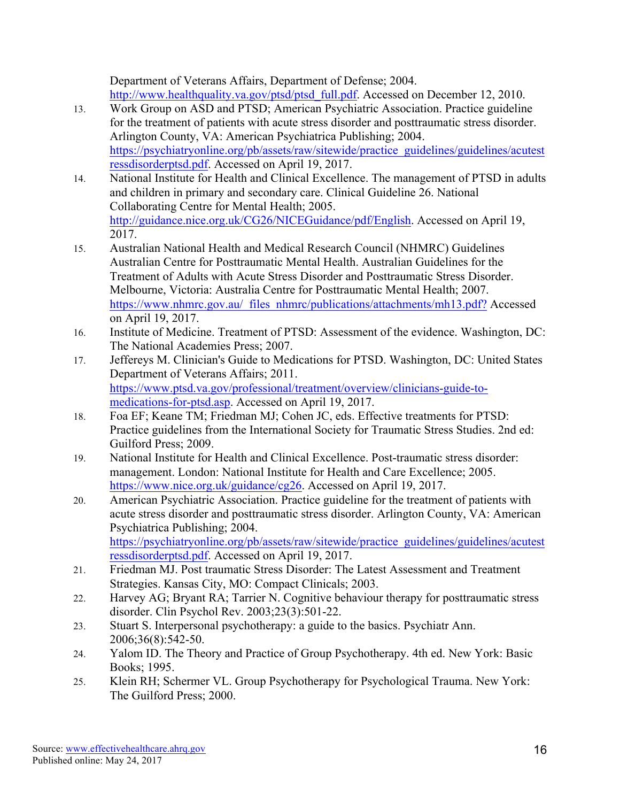Department of Veterans Affairs, Department of Defense; 2004. http://www.healthquality.va.gov/ptsd/ptsd\_full.pdf. Accessed on December 12, 2010.

- 13. Work Group on ASD and PTSD; American Psychiatric Association. Practice guideline for the treatment of patients with acute stress disorder and posttraumatic stress disorder. Arlington County, VA: American Psychiatrica Publishing; 2004. https://psychiatryonline.org/pb/assets/raw/sitewide/practice\_guidelines/guidelines/acutest ressdisorderptsd.pdf. Accessed on April 19, 2017.
- 14. National Institute for Health and Clinical Excellence. The management of PTSD in adults and children in primary and secondary care. Clinical Guideline 26. National Collaborating Centre for Mental Health; 2005. http://guidance.nice.org.uk/CG26/NICEGuidance/pdf/English. Accessed on April 19, 2017.
- 15. Australian National Health and Medical Research Council (NHMRC) Guidelines Australian Centre for Posttraumatic Mental Health. Australian Guidelines for the Treatment of Adults with Acute Stress Disorder and Posttraumatic Stress Disorder. Melbourne, Victoria: Australia Centre for Posttraumatic Mental Health; 2007. https://www.nhmrc.gov.au/\_files\_nhmrc/publications/attachments/mh13.pdf? Accessed on April 19, 2017.
- 16. Institute of Medicine. Treatment of PTSD: Assessment of the evidence. Washington, DC: The National Academies Press; 2007.
- 17. Jeffereys M. Clinician's Guide to Medications for PTSD. Washington, DC: United States Department of Veterans Affairs; 2011. https://www.ptsd.va.gov/professional/treatment/overview/clinicians-guide-tomedications-for-ptsd.asp. Accessed on April 19, 2017.
- 18. Foa EF; Keane TM; Friedman MJ; Cohen JC, eds. Effective treatments for PTSD: Practice guidelines from the International Society for Traumatic Stress Studies. 2nd ed: Guilford Press; 2009.
- 19. National Institute for Health and Clinical Excellence. Post-traumatic stress disorder: management. London: National Institute for Health and Care Excellence; 2005. https://www.nice.org.uk/guidance/cg26. Accessed on April 19, 2017.
- 20. American Psychiatric Association. Practice guideline for the treatment of patients with acute stress disorder and posttraumatic stress disorder. Arlington County, VA: American Psychiatrica Publishing; 2004. https://psychiatryonline.org/pb/assets/raw/sitewide/practice\_guidelines/guidelines/acutest ressdisorderptsd.pdf. Accessed on April 19, 2017.
- 21. Friedman MJ. Post traumatic Stress Disorder: The Latest Assessment and Treatment Strategies. Kansas City, MO: Compact Clinicals; 2003.
- 22. Harvey AG; Bryant RA; Tarrier N. Cognitive behaviour therapy for posttraumatic stress disorder. Clin Psychol Rev. 2003;23(3):501-22.
- 23. Stuart S. Interpersonal psychotherapy: a guide to the basics. Psychiatr Ann. 2006;36(8):542-50.
- 24. Yalom ID. The Theory and Practice of Group Psychotherapy. 4th ed. New York: Basic Books; 1995.
- 25. Klein RH; Schermer VL. Group Psychotherapy for Psychological Trauma. New York: The Guilford Press; 2000.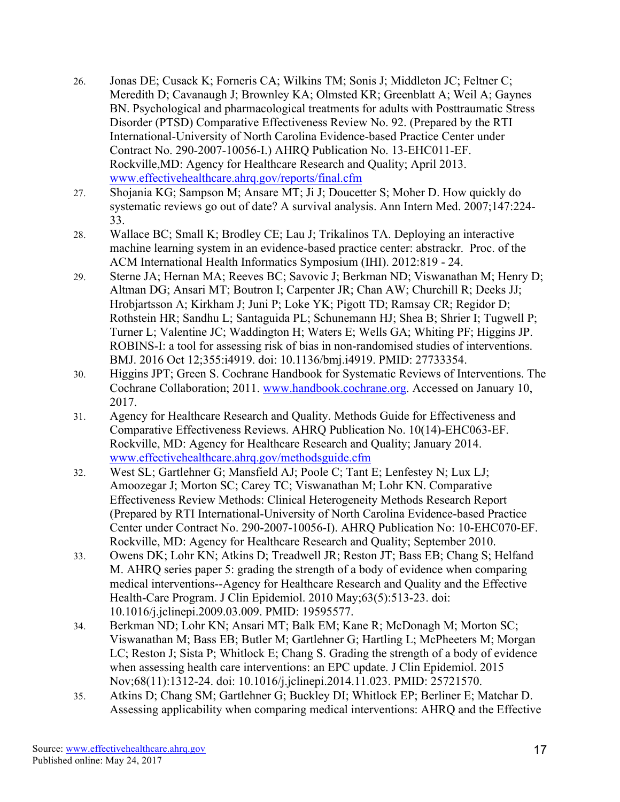- 26. Jonas DE; Cusack K; Forneris CA; Wilkins TM; Sonis J; Middleton JC; Feltner C; Meredith D; Cavanaugh J; Brownley KA; Olmsted KR; Greenblatt A; Weil A; Gaynes BN. Psychological and pharmacological treatments for adults with Posttraumatic Stress Disorder (PTSD) Comparative Effectiveness Review No. 92. (Prepared by the RTI International-University of North Carolina Evidence-based Practice Center under Contract No. 290-2007-10056-I.) AHRQ Publication No. 13-EHC011-EF. Rockville,MD: Agency for Healthcare Research and Quality; April 2013. www.effectivehealthcare.ahrq.gov/reports/final.cfm
- 27. Shojania KG; Sampson M; Ansare MT; Ji J; Doucetter S; Moher D. How quickly do systematic reviews go out of date? A survival analysis. Ann Intern Med. 2007;147:224- 33.
- 28. Wallace BC; Small K; Brodley CE; Lau J; Trikalinos TA. Deploying an interactive machine learning system in an evidence-based practice center: abstrackr. Proc. of the ACM International Health Informatics Symposium (IHI). 2012:819 - 24.
- 29. Sterne JA; Hernan MA; Reeves BC; Savovic J; Berkman ND; Viswanathan M; Henry D; Altman DG; Ansari MT; Boutron I; Carpenter JR; Chan AW; Churchill R; Deeks JJ; Hrobjartsson A; Kirkham J; Juni P; Loke YK; Pigott TD; Ramsay CR; Regidor D; Rothstein HR; Sandhu L; Santaguida PL; Schunemann HJ; Shea B; Shrier I; Tugwell P; Turner L; Valentine JC; Waddington H; Waters E; Wells GA; Whiting PF; Higgins JP. ROBINS-I: a tool for assessing risk of bias in non-randomised studies of interventions. BMJ. 2016 Oct 12;355:i4919. doi: 10.1136/bmj.i4919. PMID: 27733354.
- 30. Higgins JPT; Green S. Cochrane Handbook for Systematic Reviews of Interventions. The Cochrane Collaboration; 2011. www.handbook.cochrane.org. Accessed on January 10, 2017.
- 31. Agency for Healthcare Research and Quality. Methods Guide for Effectiveness and Comparative Effectiveness Reviews. AHRQ Publication No. 10(14)-EHC063-EF. Rockville, MD: Agency for Healthcare Research and Quality; January 2014. www.effectivehealthcare.ahrq.gov/methodsguide.cfm
- 32. West SL; Gartlehner G; Mansfield AJ; Poole C; Tant E; Lenfestey N; Lux LJ; Amoozegar J; Morton SC; Carey TC; Viswanathan M; Lohr KN. Comparative Effectiveness Review Methods: Clinical Heterogeneity Methods Research Report (Prepared by RTI International-University of North Carolina Evidence-based Practice Center under Contract No. 290-2007-10056-I). AHRQ Publication No: 10-EHC070-EF. Rockville, MD: Agency for Healthcare Research and Quality; September 2010.
- 33. Owens DK; Lohr KN; Atkins D; Treadwell JR; Reston JT; Bass EB; Chang S; Helfand M. AHRQ series paper 5: grading the strength of a body of evidence when comparing medical interventions--Agency for Healthcare Research and Quality and the Effective Health-Care Program. J Clin Epidemiol. 2010 May;63(5):513-23. doi: 10.1016/j.jclinepi.2009.03.009. PMID: 19595577.
- 34. Berkman ND; Lohr KN; Ansari MT; Balk EM; Kane R; McDonagh M; Morton SC; Viswanathan M; Bass EB; Butler M; Gartlehner G; Hartling L; McPheeters M; Morgan LC; Reston J; Sista P; Whitlock E; Chang S. Grading the strength of a body of evidence when assessing health care interventions: an EPC update. J Clin Epidemiol. 2015 Nov;68(11):1312-24. doi: 10.1016/j.jclinepi.2014.11.023. PMID: 25721570.
- 35. Atkins D; Chang SM; Gartlehner G; Buckley DI; Whitlock EP; Berliner E; Matchar D. Assessing applicability when comparing medical interventions: AHRQ and the Effective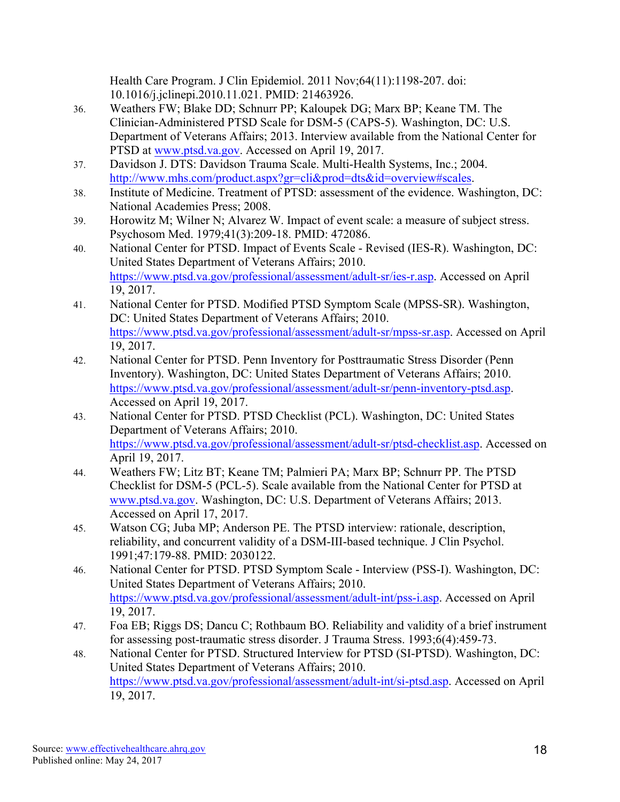Health Care Program. J Clin Epidemiol. 2011 Nov;64(11):1198-207. doi: 10.1016/j.jclinepi.2010.11.021. PMID: 21463926.

- 36. Weathers FW; Blake DD; Schnurr PP; Kaloupek DG; Marx BP; Keane TM. The Clinician-Administered PTSD Scale for DSM-5 (CAPS-5). Washington, DC: U.S. Department of Veterans Affairs; 2013. Interview available from the National Center for PTSD at www.ptsd.va.gov. Accessed on April 19, 2017.
- 37. Davidson J. DTS: Davidson Trauma Scale. Multi-Health Systems, Inc.; 2004. http://www.mhs.com/product.aspx?gr=cli&prod=dts&id=overview#scales.
- 38. Institute of Medicine. Treatment of PTSD: assessment of the evidence. Washington, DC: National Academies Press; 2008.
- 39. Horowitz M; Wilner N; Alvarez W. Impact of event scale: a measure of subject stress. Psychosom Med. 1979;41(3):209-18. PMID: 472086.
- 40. National Center for PTSD. Impact of Events Scale Revised (IES-R). Washington, DC: United States Department of Veterans Affairs; 2010. https://www.ptsd.va.gov/professional/assessment/adult-sr/ies-r.asp. Accessed on April 19, 2017.
- 41. National Center for PTSD. Modified PTSD Symptom Scale (MPSS-SR). Washington, DC: United States Department of Veterans Affairs; 2010. https://www.ptsd.va.gov/professional/assessment/adult-sr/mpss-sr.asp. Accessed on April 19, 2017.
- 42. National Center for PTSD. Penn Inventory for Posttraumatic Stress Disorder (Penn Inventory). Washington, DC: United States Department of Veterans Affairs; 2010. https://www.ptsd.va.gov/professional/assessment/adult-sr/penn-inventory-ptsd.asp. Accessed on April 19, 2017.
- 43. National Center for PTSD. PTSD Checklist (PCL). Washington, DC: United States Department of Veterans Affairs; 2010. https://www.ptsd.va.gov/professional/assessment/adult-sr/ptsd-checklist.asp. Accessed on April 19, 2017.
- 44. Weathers FW; Litz BT; Keane TM; Palmieri PA; Marx BP; Schnurr PP. The PTSD Checklist for DSM-5 (PCL-5). Scale available from the National Center for PTSD at www.ptsd.va.gov. Washington, DC: U.S. Department of Veterans Affairs; 2013. Accessed on April 17, 2017.
- 45. Watson CG; Juba MP; Anderson PE. The PTSD interview: rationale, description, reliability, and concurrent validity of a DSM-III-based technique. J Clin Psychol. 1991;47:179-88. PMID: 2030122.
- 46. National Center for PTSD. PTSD Symptom Scale Interview (PSS-I). Washington, DC: United States Department of Veterans Affairs; 2010. https://www.ptsd.va.gov/professional/assessment/adult-int/pss-i.asp. Accessed on April 19, 2017.
- 47. Foa EB; Riggs DS; Dancu C; Rothbaum BO. Reliability and validity of a brief instrument for assessing post-traumatic stress disorder. J Trauma Stress. 1993;6(4):459-73.
- 48. National Center for PTSD. Structured Interview for PTSD (SI-PTSD). Washington, DC: United States Department of Veterans Affairs; 2010. https://www.ptsd.va.gov/professional/assessment/adult-int/si-ptsd.asp. Accessed on April 19, 2017.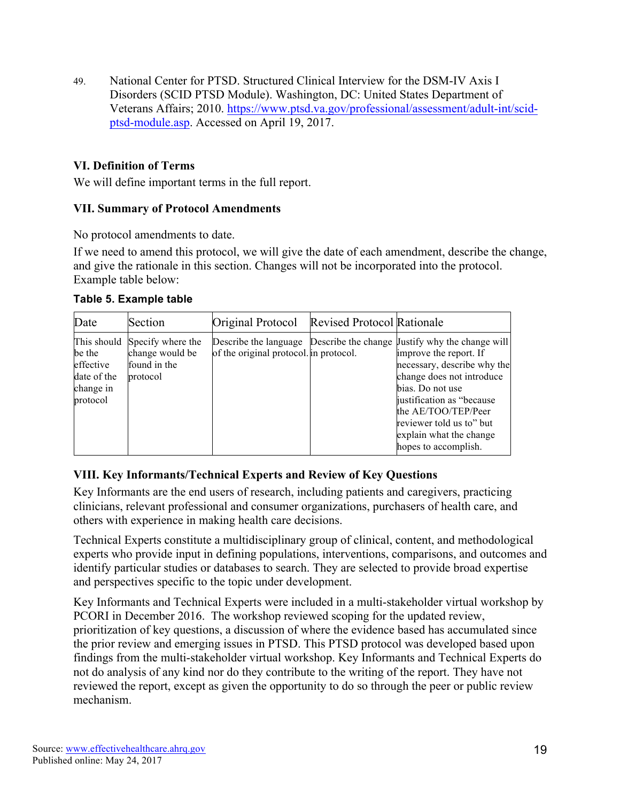49. National Center for PTSD. Structured Clinical Interview for the DSM-IV Axis I Disorders (SCID PTSD Module). Washington, DC: United States Department of Veterans Affairs; 2010. https://www.ptsd.va.gov/professional/assessment/adult-int/scidptsd-module.asp. Accessed on April 19, 2017.

#### **VI. Definition of Terms**

We will define important terms in the full report.

#### **VII. Summary of Protocol Amendments**

No protocol amendments to date.

If we need to amend this protocol, we will give the date of each amendment, describe the change, and give the rationale in this section. Changes will not be incorporated into the protocol. Example table below:

|  |  | Table 5. Example table |  |
|--|--|------------------------|--|
|--|--|------------------------|--|

| Date                                                        | Section                                                                      | Original Protocol                      | <b>Revised Protocol Rationale</b> |                                                                                                                                                                                                                                                                                                                     |
|-------------------------------------------------------------|------------------------------------------------------------------------------|----------------------------------------|-----------------------------------|---------------------------------------------------------------------------------------------------------------------------------------------------------------------------------------------------------------------------------------------------------------------------------------------------------------------|
| be the<br>effective<br>date of the<br>change in<br>protocol | This should Specify where the<br>change would be<br>found in the<br>protocol | of the original protocol. in protocol. |                                   | Describe the language Describe the change Uustify why the change will<br>improve the report. If<br>necessary, describe why the<br>change does not introduce<br>bias. Do not use<br>justification as "because"<br>the AE/TOO/TEP/Peer<br>reviewer told us to" but<br>explain what the change<br>hopes to accomplish. |

#### **VIII. Key Informants/Technical Experts and Review of Key Questions**

Key Informants are the end users of research, including patients and caregivers, practicing clinicians, relevant professional and consumer organizations, purchasers of health care, and others with experience in making health care decisions.

Technical Experts constitute a multidisciplinary group of clinical, content, and methodological experts who provide input in defining populations, interventions, comparisons, and outcomes and identify particular studies or databases to search. They are selected to provide broad expertise and perspectives specific to the topic under development.

Key Informants and Technical Experts were included in a multi-stakeholder virtual workshop by PCORI in December 2016. The workshop reviewed scoping for the updated review, prioritization of key questions, a discussion of where the evidence based has accumulated since the prior review and emerging issues in PTSD. This PTSD protocol was developed based upon findings from the multi-stakeholder virtual workshop. Key Informants and Technical Experts do not do analysis of any kind nor do they contribute to the writing of the report. They have not reviewed the report, except as given the opportunity to do so through the peer or public review mechanism.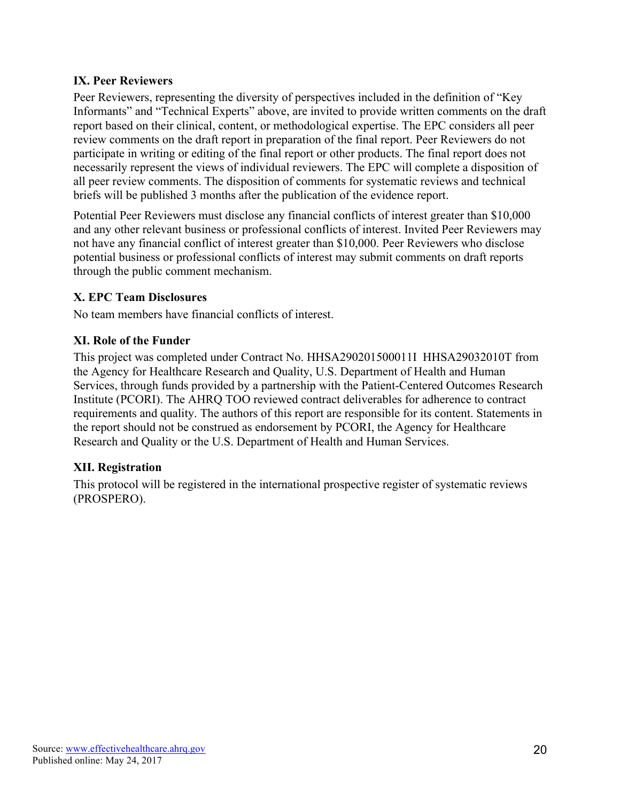#### **IX. Peer Reviewers**

Peer Reviewers, representing the diversity of perspectives included in the definition of "Key Informants" and "Technical Experts" above, are invited to provide written comments on the draft report based on their clinical, content, or methodological expertise. The EPC considers all peer review comments on the draft report in preparation of the final report. Peer Reviewers do not participate in writing or editing of the final report or other products. The final report does not necessarily represent the views of individual reviewers. The EPC will complete a disposition of all peer review comments. The disposition of comments for systematic reviews and technical briefs will be published 3 months after the publication of the evidence report.

Potential Peer Reviewers must disclose any financial conflicts of interest greater than \$10,000 and any other relevant business or professional conflicts of interest. Invited Peer Reviewers may not have any financial conflict of interest greater than \$10,000. Peer Reviewers who disclose potential business or professional conflicts of interest may submit comments on draft reports through the public comment mechanism.

## **X. EPC Team Disclosures**

No team members have financial conflicts of interest.

## **XI. Role of the Funder**

This project was completed under Contract No. HHSA290201500011I HHSA29032010T from the Agency for Healthcare Research and Quality, U.S. Department of Health and Human Services, through funds provided by a partnership with the Patient-Centered Outcomes Research Institute (PCORI). The AHRQ TOO reviewed contract deliverables for adherence to contract requirements and quality. The authors of this report are responsible for its content. Statements in the report should not be construed as endorsement by PCORI, the Agency for Healthcare Research and Quality or the U.S. Department of Health and Human Services.

## **XII. Registration**

This protocol will be registered in the international prospective register of systematic reviews (PROSPERO).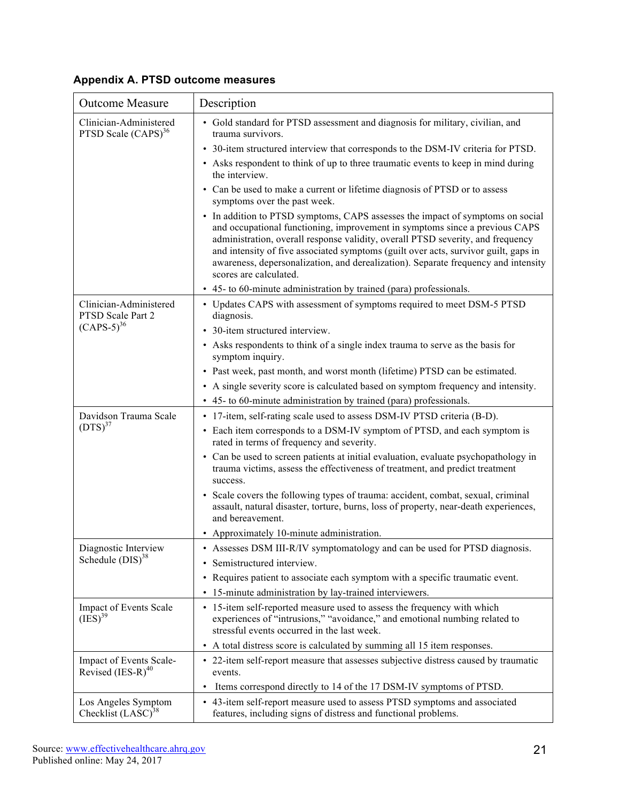|  |  |  | Appendix A. PTSD outcome measures |  |
|--|--|--|-----------------------------------|--|
|  |  |  |                                   |  |

| <b>Outcome Measure</b>                                    | Description                                                                                                                                                                                                                                                                                                                                                                                                                                             |
|-----------------------------------------------------------|---------------------------------------------------------------------------------------------------------------------------------------------------------------------------------------------------------------------------------------------------------------------------------------------------------------------------------------------------------------------------------------------------------------------------------------------------------|
| Clinician-Administered<br>PTSD Scale (CAPS) <sup>36</sup> | • Gold standard for PTSD assessment and diagnosis for military, civilian, and<br>trauma survivors.                                                                                                                                                                                                                                                                                                                                                      |
|                                                           | • 30-item structured interview that corresponds to the DSM-IV criteria for PTSD.                                                                                                                                                                                                                                                                                                                                                                        |
|                                                           | • Asks respondent to think of up to three traumatic events to keep in mind during<br>the interview.                                                                                                                                                                                                                                                                                                                                                     |
|                                                           | • Can be used to make a current or lifetime diagnosis of PTSD or to assess<br>symptoms over the past week.                                                                                                                                                                                                                                                                                                                                              |
|                                                           | • In addition to PTSD symptoms, CAPS assesses the impact of symptoms on social<br>and occupational functioning, improvement in symptoms since a previous CAPS<br>administration, overall response validity, overall PTSD severity, and frequency<br>and intensity of five associated symptoms (guilt over acts, survivor guilt, gaps in<br>awareness, depersonalization, and derealization). Separate frequency and intensity<br>scores are calculated. |
|                                                           | • 45- to 60-minute administration by trained (para) professionals.                                                                                                                                                                                                                                                                                                                                                                                      |
| Clinician-Administered<br>PTSD Scale Part 2               | • Updates CAPS with assessment of symptoms required to meet DSM-5 PTSD<br>diagnosis.                                                                                                                                                                                                                                                                                                                                                                    |
| $(CAPS-5)^{36}$                                           | • 30-item structured interview.                                                                                                                                                                                                                                                                                                                                                                                                                         |
|                                                           | • Asks respondents to think of a single index trauma to serve as the basis for<br>symptom inquiry.                                                                                                                                                                                                                                                                                                                                                      |
|                                                           | • Past week, past month, and worst month (lifetime) PTSD can be estimated.                                                                                                                                                                                                                                                                                                                                                                              |
|                                                           | • A single severity score is calculated based on symptom frequency and intensity.                                                                                                                                                                                                                                                                                                                                                                       |
|                                                           | • 45- to 60-minute administration by trained (para) professionals.                                                                                                                                                                                                                                                                                                                                                                                      |
| Davidson Trauma Scale                                     | • 17-item, self-rating scale used to assess DSM-IV PTSD criteria (B-D).                                                                                                                                                                                                                                                                                                                                                                                 |
| $(DTS)^{37}$                                              | • Each item corresponds to a DSM-IV symptom of PTSD, and each symptom is<br>rated in terms of frequency and severity.                                                                                                                                                                                                                                                                                                                                   |
|                                                           | • Can be used to screen patients at initial evaluation, evaluate psychopathology in<br>trauma victims, assess the effectiveness of treatment, and predict treatment<br>success.                                                                                                                                                                                                                                                                         |
|                                                           | • Scale covers the following types of trauma: accident, combat, sexual, criminal<br>assault, natural disaster, torture, burns, loss of property, near-death experiences,<br>and bereavement.                                                                                                                                                                                                                                                            |
|                                                           | • Approximately 10-minute administration.                                                                                                                                                                                                                                                                                                                                                                                                               |
| Diagnostic Interview                                      | • Assesses DSM III-R/IV symptomatology and can be used for PTSD diagnosis.                                                                                                                                                                                                                                                                                                                                                                              |
| Schedule (DIS) <sup>38</sup>                              | Semistructured interview.                                                                                                                                                                                                                                                                                                                                                                                                                               |
|                                                           | • Requires patient to associate each symptom with a specific traumatic event.                                                                                                                                                                                                                                                                                                                                                                           |
|                                                           | 15-minute administration by lay-trained interviewers.<br>$\bullet$                                                                                                                                                                                                                                                                                                                                                                                      |
| Impact of Events Scale<br>$(IES)^{39}$                    | • 15-item self-reported measure used to assess the frequency with which<br>experiences of "intrusions," "avoidance," and emotional numbing related to<br>stressful events occurred in the last week.                                                                                                                                                                                                                                                    |
|                                                           | • A total distress score is calculated by summing all 15 item responses.                                                                                                                                                                                                                                                                                                                                                                                |
| Impact of Events Scale-<br>Revised $(IES-R)^{40}$         | • 22-item self-report measure that assesses subjective distress caused by traumatic<br>events.                                                                                                                                                                                                                                                                                                                                                          |
|                                                           | Items correspond directly to 14 of the 17 DSM-IV symptoms of PTSD.<br>$\bullet$                                                                                                                                                                                                                                                                                                                                                                         |
| Los Angeles Symptom<br>Checklist $(LASC)^{38}$            | • 43-item self-report measure used to assess PTSD symptoms and associated<br>features, including signs of distress and functional problems.                                                                                                                                                                                                                                                                                                             |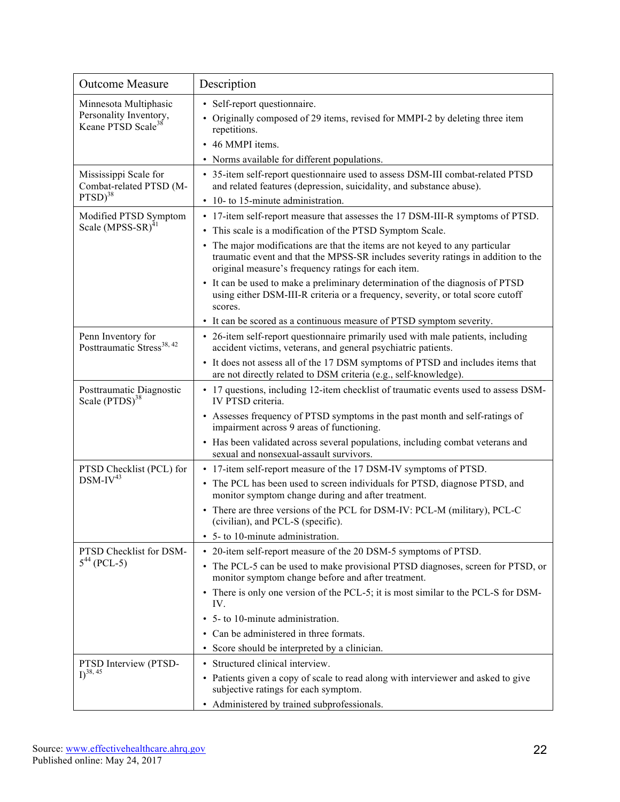| <b>Outcome Measure</b>                                                            | Description                                                                                                                                                                                                                                                                                                                                                             |
|-----------------------------------------------------------------------------------|-------------------------------------------------------------------------------------------------------------------------------------------------------------------------------------------------------------------------------------------------------------------------------------------------------------------------------------------------------------------------|
| Minnesota Multiphasic<br>Personality Inventory,<br>Keane PTSD Scale <sup>38</sup> | • Self-report questionnaire.<br>• Originally composed of 29 items, revised for MMPI-2 by deleting three item<br>repetitions.<br>• 46 MMPI items.<br>• Norms available for different populations.                                                                                                                                                                        |
| Mississippi Scale for<br>Combat-related PTSD (M-<br>$PTSD)^{38}$                  | • 35-item self-report questionnaire used to assess DSM-III combat-related PTSD<br>and related features (depression, suicidality, and substance abuse).<br>10- to 15-minute administration.<br>$\bullet$                                                                                                                                                                 |
| Modified PTSD Symptom<br>Scale (MPSS-SR) <sup>41</sup>                            | • 17-item self-report measure that assesses the 17 DSM-III-R symptoms of PTSD.<br>• This scale is a modification of the PTSD Symptom Scale.<br>• The major modifications are that the items are not keyed to any particular<br>traumatic event and that the MPSS-SR includes severity ratings in addition to the<br>original measure's frequency ratings for each item. |
|                                                                                   | • It can be used to make a preliminary determination of the diagnosis of PTSD<br>using either DSM-III-R criteria or a frequency, severity, or total score cutoff<br>scores.                                                                                                                                                                                             |
| Penn Inventory for<br>Posttraumatic Stress <sup>38, 42</sup>                      | • It can be scored as a continuous measure of PTSD symptom severity.<br>• 26-item self-report questionnaire primarily used with male patients, including<br>accident victims, veterans, and general psychiatric patients.                                                                                                                                               |
|                                                                                   | • It does not assess all of the 17 DSM symptoms of PTSD and includes items that<br>are not directly related to DSM criteria (e.g., self-knowledge).                                                                                                                                                                                                                     |
| Posttraumatic Diagnostic<br>Scale (PTDS) <sup>38</sup>                            | • 17 questions, including 12-item checklist of traumatic events used to assess DSM-<br>IV PTSD criteria.                                                                                                                                                                                                                                                                |
|                                                                                   | • Assesses frequency of PTSD symptoms in the past month and self-ratings of<br>impairment across 9 areas of functioning.<br>• Has been validated across several populations, including combat veterans and                                                                                                                                                              |
|                                                                                   | sexual and nonsexual-assault survivors.                                                                                                                                                                                                                                                                                                                                 |
| PTSD Checklist (PCL) for<br>$DSM-IV^{43}$                                         | • 17-item self-report measure of the 17 DSM-IV symptoms of PTSD.<br>• The PCL has been used to screen individuals for PTSD, diagnose PTSD, and<br>monitor symptom change during and after treatment.                                                                                                                                                                    |
|                                                                                   | • There are three versions of the PCL for DSM-IV: PCL-M (military), PCL-C<br>(civilian), and PCL-S (specific).<br>• 5- to 10-minute administration.                                                                                                                                                                                                                     |
| PTSD Checklist for DSM-<br>$5^{44}$ (PCL-5)                                       | • 20-item self-report measure of the 20 DSM-5 symptoms of PTSD.                                                                                                                                                                                                                                                                                                         |
|                                                                                   | • The PCL-5 can be used to make provisional PTSD diagnoses, screen for PTSD, or<br>monitor symptom change before and after treatment.                                                                                                                                                                                                                                   |
|                                                                                   | • There is only one version of the PCL-5; it is most similar to the PCL-S for DSM-<br>IV.                                                                                                                                                                                                                                                                               |
|                                                                                   | • 5- to 10-minute administration.                                                                                                                                                                                                                                                                                                                                       |
|                                                                                   | • Can be administered in three formats.                                                                                                                                                                                                                                                                                                                                 |
|                                                                                   | • Score should be interpreted by a clinician.                                                                                                                                                                                                                                                                                                                           |
| PTSD Interview (PTSD-<br>$I)^{38, 45}$                                            | • Structured clinical interview.                                                                                                                                                                                                                                                                                                                                        |
|                                                                                   | • Patients given a copy of scale to read along with interviewer and asked to give<br>subjective ratings for each symptom.                                                                                                                                                                                                                                               |
|                                                                                   | • Administered by trained subprofessionals.                                                                                                                                                                                                                                                                                                                             |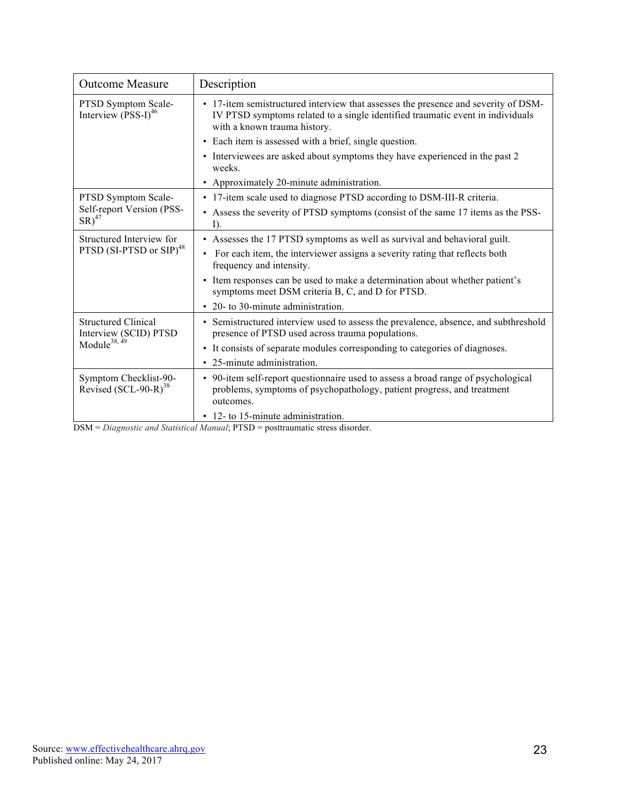| <b>Outcome Measure</b>                                         | Description                                                                                                                                                                                          |
|----------------------------------------------------------------|------------------------------------------------------------------------------------------------------------------------------------------------------------------------------------------------------|
| PTSD Symptom Scale-<br>Interview (PSS-I) <sup>46</sup>         | • 17-item semistructured interview that assesses the presence and severity of DSM-<br>IV PTSD symptoms related to a single identified traumatic event in individuals<br>with a known trauma history. |
|                                                                | • Each item is assessed with a brief, single question.                                                                                                                                               |
|                                                                | • Interviewees are asked about symptoms they have experienced in the past 2<br>weeks.                                                                                                                |
|                                                                | • Approximately 20-minute administration.                                                                                                                                                            |
| PTSD Symptom Scale-<br>Self-report Version (PSS-<br>$SR)^{47}$ | • 17-item scale used to diagnose PTSD according to DSM-III-R criteria.                                                                                                                               |
|                                                                | • Assess the severity of PTSD symptoms (consist of the same 17 items as the PSS-<br>$\Gamma$                                                                                                         |
| Structured Interview for                                       | • Assesses the 17 PTSD symptoms as well as survival and behavioral guilt.                                                                                                                            |
| PTSD (SI-PTSD or SIP) <sup>48</sup>                            | For each item, the interviewer assigns a severity rating that reflects both<br>$\bullet$<br>frequency and intensity.                                                                                 |
|                                                                | • Item responses can be used to make a determination about whether patient's<br>symptoms meet DSM criteria B, C, and D for PTSD.                                                                     |
|                                                                | • 20- to 30-minute administration.                                                                                                                                                                   |
| <b>Structured Clinical</b><br>Interview (SCID) PTSD            | • Semistructured interview used to assess the prevalence, absence, and subthreshold<br>presence of PTSD used across trauma populations.                                                              |
| Module <sup>38, 49</sup>                                       | • It consists of separate modules corresponding to categories of diagnoses.                                                                                                                          |
|                                                                | • 25-minute administration.                                                                                                                                                                          |
| Symptom Checklist-90-<br>Revised $(SCL-90-R)^{38}$             | • 90-item self-report questionnaire used to assess a broad range of psychological<br>problems, symptoms of psychopathology, patient progress, and treatment<br>outcomes.                             |
|                                                                | • 12- to 15-minute administration.                                                                                                                                                                   |

DSM = *Diagnostic and Statistical Manual*; PTSD = posttraumatic stress disorder.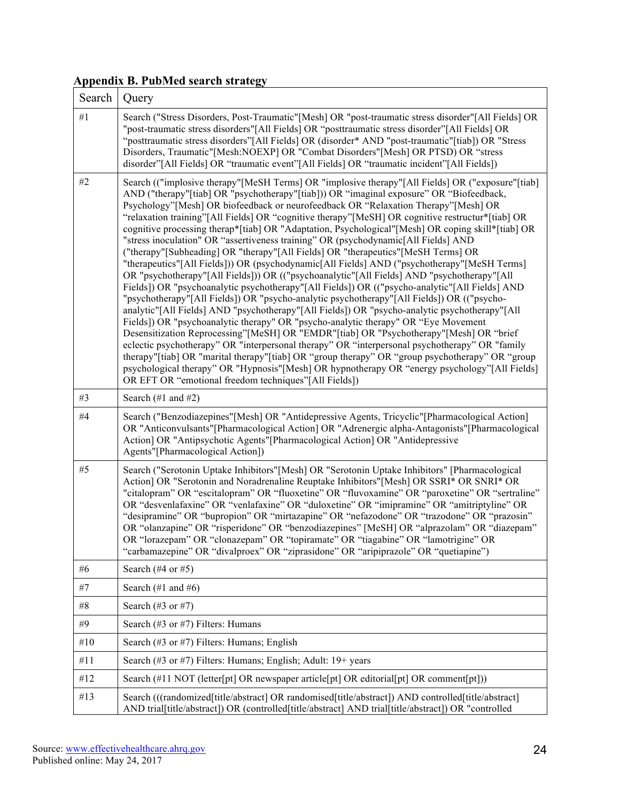# **Appendix B. PubMed search strategy**

| Search | Query                                                                                                                                                                                                                                                                                                                                                                                                                                                                                                                                                                                                                                                                                                                                                                                                                                                                                                                                                                                                                                                                                                                                                                                                                                                                                                                                                                                                                                                                                                                                                                                                                                                                                                               |
|--------|---------------------------------------------------------------------------------------------------------------------------------------------------------------------------------------------------------------------------------------------------------------------------------------------------------------------------------------------------------------------------------------------------------------------------------------------------------------------------------------------------------------------------------------------------------------------------------------------------------------------------------------------------------------------------------------------------------------------------------------------------------------------------------------------------------------------------------------------------------------------------------------------------------------------------------------------------------------------------------------------------------------------------------------------------------------------------------------------------------------------------------------------------------------------------------------------------------------------------------------------------------------------------------------------------------------------------------------------------------------------------------------------------------------------------------------------------------------------------------------------------------------------------------------------------------------------------------------------------------------------------------------------------------------------------------------------------------------------|
| #1     | Search ("Stress Disorders, Post-Traumatic"[Mesh] OR "post-traumatic stress disorder"[All Fields] OR<br>"post-traumatic stress disorders"[All Fields] OR "posttraumatic stress disorder"[All Fields] OR<br>"posttraumatic stress disorders"[All Fields] OR (disorder* AND "post-traumatic"[tiab]) OR "Stress<br>Disorders, Traumatic"[Mesh:NOEXP] OR "Combat Disorders"[Mesh] OR PTSD) OR "stress<br>disorder"[All Fields] OR "traumatic event"[All Fields] OR "traumatic incident"[All Fields])                                                                                                                                                                                                                                                                                                                                                                                                                                                                                                                                                                                                                                                                                                                                                                                                                                                                                                                                                                                                                                                                                                                                                                                                                     |
| #2     | Search (("implosive therapy"[MeSH Terms] OR "implosive therapy"[All Fields] OR ("exposure"[tiab]<br>AND ("therapy"[tiab] OR "psychotherapy"[tiab])) OR "imaginal exposure" OR "Biofeedback,<br>Psychology"[Mesh] OR biofeedback or neurofeedback OR "Relaxation Therapy"[Mesh] OR<br>"relaxation training"[All Fields] OR "cognitive therapy"[MeSH] OR cognitive restructur*[tiab] OR<br>cognitive processing therap*[tiab] OR "Adaptation, Psychological"[Mesh] OR coping skill*[tiab] OR<br>"stress inoculation" OR "assertiveness training" OR (psychodynamic[All Fields] AND<br>("therapy"[Subheading] OR "therapy"[All Fields] OR "therapeutics"[MeSH Terms] OR<br>"therapeutics"[All Fields])) OR (psychodynamic[All Fields] AND ("psychotherapy"[MeSH Terms]<br>OR "psychotherapy"[All Fields])) OR (("psychoanalytic"[All Fields] AND "psychotherapy"[All<br>Fields]) OR "psychoanalytic psychotherapy"[All Fields]) OR (("psycho-analytic"[All Fields] AND<br>"psychotherapy"[All Fields]) OR "psycho-analytic psychotherapy"[All Fields]) OR (("psycho-<br>analytic"[All Fields] AND "psychotherapy"[All Fields]) OR "psycho-analytic psychotherapy"[All<br>Fields]) OR "psychoanalytic therapy" OR "psycho-analytic therapy" OR "Eye Movement<br>Desensitization Reprocessing"[MeSH] OR "EMDR"[tiab] OR "Psychotherapy"[Mesh] OR "brief<br>eclectic psychotherapy" OR "interpersonal therapy" OR "interpersonal psychotherapy" OR "family<br>therapy"[tiab] OR "marital therapy"[tiab] OR "group therapy" OR "group psychotherapy" OR "group<br>psychological therapy" OR "Hypnosis" [Mesh] OR hypnotherapy OR "energy psychology" [All Fields]<br>OR EFT OR "emotional freedom techniques"[All Fields]) |
| #3     | Search $(\#1 \text{ and } \#2)$                                                                                                                                                                                                                                                                                                                                                                                                                                                                                                                                                                                                                                                                                                                                                                                                                                                                                                                                                                                                                                                                                                                                                                                                                                                                                                                                                                                                                                                                                                                                                                                                                                                                                     |
| #4     | Search ("Benzodiazepines"[Mesh] OR "Antidepressive Agents, Tricyclic"[Pharmacological Action]<br>OR "Anticonvulsants"[Pharmacological Action] OR "Adrenergic alpha-Antagonists"[Pharmacological<br>Action] OR "Antipsychotic Agents"[Pharmacological Action] OR "Antidepressive<br>Agents"[Pharmacological Action])                                                                                                                                                                                                                                                                                                                                                                                                                                                                                                                                                                                                                                                                                                                                                                                                                                                                                                                                                                                                                                                                                                                                                                                                                                                                                                                                                                                                 |
| $#5$   | Search ("Serotonin Uptake Inhibitors" [Mesh] OR "Serotonin Uptake Inhibitors" [Pharmacological<br>Action] OR "Serotonin and Noradrenaline Reuptake Inhibitors"[Mesh] OR SSRI* OR SNRI* OR<br>"citalopram" OR "escitalopram" OR "fluoxetine" OR "fluvoxamine" OR "paroxetine" OR "sertraline"<br>OR "desvenlafaxine" OR "venlafaxine" OR "duloxetine" OR "imipramine" OR "amitriptyline" OR<br>"desipramine" OR "bupropion" OR "mirtazapine" OR "nefazodone" OR "trazodone" OR "prazosin"<br>OR "olanzapine" OR "risperidone" OR "benzodiazepines" [MeSH] OR "alprazolam" OR "diazepam"<br>OR "lorazepam" OR "clonazepam" OR "topiramate" OR "tiagabine" OR "lamotrigine" OR<br>"carbamazepine" OR "divalproex" OR "ziprasidone" OR "aripiprazole" OR "quetiapine")                                                                                                                                                                                                                                                                                                                                                                                                                                                                                                                                                                                                                                                                                                                                                                                                                                                                                                                                                  |
| #6     | Search $(\#4 \text{ or } \#5)$                                                                                                                                                                                                                                                                                                                                                                                                                                                                                                                                                                                                                                                                                                                                                                                                                                                                                                                                                                                                                                                                                                                                                                                                                                                                                                                                                                                                                                                                                                                                                                                                                                                                                      |
| #7     | Search $(\#1 \text{ and } \#6)$                                                                                                                                                                                                                                                                                                                                                                                                                                                                                                                                                                                                                                                                                                                                                                                                                                                                                                                                                                                                                                                                                                                                                                                                                                                                                                                                                                                                                                                                                                                                                                                                                                                                                     |
| #8     | Search $(\#3 \text{ or } \#7)$                                                                                                                                                                                                                                                                                                                                                                                                                                                                                                                                                                                                                                                                                                                                                                                                                                                                                                                                                                                                                                                                                                                                                                                                                                                                                                                                                                                                                                                                                                                                                                                                                                                                                      |
| #9     | Search (#3 or #7) Filters: Humans                                                                                                                                                                                                                                                                                                                                                                                                                                                                                                                                                                                                                                                                                                                                                                                                                                                                                                                                                                                                                                                                                                                                                                                                                                                                                                                                                                                                                                                                                                                                                                                                                                                                                   |
| #10    | Search (#3 or #7) Filters: Humans; English                                                                                                                                                                                                                                                                                                                                                                                                                                                                                                                                                                                                                                                                                                                                                                                                                                                                                                                                                                                                                                                                                                                                                                                                                                                                                                                                                                                                                                                                                                                                                                                                                                                                          |
| #11    | Search (#3 or #7) Filters: Humans; English; Adult: 19+ years                                                                                                                                                                                                                                                                                                                                                                                                                                                                                                                                                                                                                                                                                                                                                                                                                                                                                                                                                                                                                                                                                                                                                                                                                                                                                                                                                                                                                                                                                                                                                                                                                                                        |
| #12    | Search $(\#11$ NOT (letter[pt] OR newspaper article[pt] OR editorial[pt] OR comment[pt]))                                                                                                                                                                                                                                                                                                                                                                                                                                                                                                                                                                                                                                                                                                                                                                                                                                                                                                                                                                                                                                                                                                                                                                                                                                                                                                                                                                                                                                                                                                                                                                                                                           |
| #13    | Search (((randomized[title/abstract] OR randomised[title/abstract]) AND controlled[title/abstract]<br>AND trial[title/abstract]) OR (controlled[title/abstract] AND trial[title/abstract]) OR "controlled                                                                                                                                                                                                                                                                                                                                                                                                                                                                                                                                                                                                                                                                                                                                                                                                                                                                                                                                                                                                                                                                                                                                                                                                                                                                                                                                                                                                                                                                                                           |